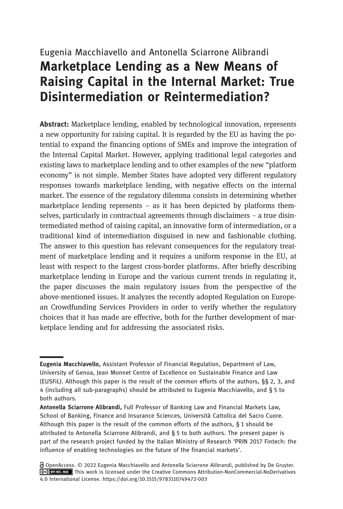# Eugenia Macchiavello and Antonella Sciarrone Alibrandi Marketplace Lending as a New Means of Raising Capital in the Internal Market: True Disintermediation or Reintermediation?

Abstract: Marketplace lending, enabled by technological innovation, represents a new opportunity for raising capital. It is regarded by the EU as having the potential to expand the financing options of SMEs and improve the integration of the Internal Capital Market. However, applying traditional legal categories and existing laws to marketplace lending and to other examples of the new "platform economy" is not simple. Member States have adopted very different regulatory responses towards marketplace lending, with negative effects on the internal market. The essence of the regulatory dilemma consists in determining whether marketplace lending represents – as it has been depicted by platforms themselves, particularly in contractual agreements through disclaimers – a true disintermediated method of raising capital, an innovative form of intermediation, or a traditional kind of intermediation disguised in new and fashionable clothing. The answer to this question has relevant consequences for the regulatory treatment of marketplace lending and it requires a uniform response in the EU, at least with respect to the largest cross-border platforms. After briefly describing marketplace lending in Europe and the various current trends in regulating it, the paper discusses the main regulatory issues from the perspective of the above-mentioned issues. It analyzes the recently adopted Regulation on European Crowdfunding Services Providers in order to verify whether the regulatory choices that it has made are effective, both for the further development of marketplace lending and for addressing the associated risks.

Eugenia Macchiavello, Assistant Professor of Financial Regulation, Department of Law, University of Genoa, Jean Monnet Centre of Excellence on Sustainable Finance and Law (EUSFiL). Although this paper is the result of the common efforts of the authors, §§ 2, 3, and 4 (including all sub-paragraphs) should be attributed to Eugenia Macchiavello, and § 5 to both authors.

Antonella Sciarrone Alibrandi, Full Professor of Banking Law and Financial Markets Law, School of Banking, Finance and Insurance Sciences, Università Cattolica del Sacro Cuore. Although this paper is the result of the common efforts of the authors, § 1 should be attributed to Antonella Sciarrone Alibrandi, and § 5 to both authors. The present paper is part of the research project funded by the Italian Ministry of Research 'PRIN 2017 Fintech: the influence of enabling technologies on the future of the financial markets'.

OpenAccess. © 2022 Eugenia Macchiavello and Antonella Sciarrone Alibrandi, published by De Gruyter. This work is licensed under the Creative Commons Attribution-NonCommercial-NoDerivatives 4.0 International License. https://doi.org/10.1515/9783110749472-003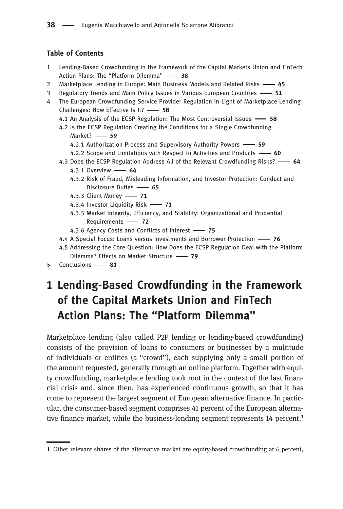### Table of Contents

- Lending-Based Crowdfunding in the Framework of the Capital Markets Union and FinTech Action Plans: The "Platform Dilemma" - 38
- 2 Marketplace Lending in Europe: Main Business Models and Related Risks 45
- 3 Regulatory Trends and Main Policy Issues in Various European Countries 51
- The European Crowdfunding Service Provider Regulation in Light of Marketplace Lending Challenges: How Effective Is It? - 58
	- 4.1 An Analysis of the ECSP Regulation: The Most Controversial Issues -68
	- . Is the ECSP Regulation Creating the Conditions for a Single Crowdfunding Market? - 59
		- 4.2.1 Authorization Process and Supervisory Authority Powers -69
		- 4.2.2 Scope and Limitations with Respect to Activities and Products  $\longrightarrow$  60
	- 4.3 Does the ECSP Regulation Address All of the Relevant Crowdfunding Risks? 64 4.3.1 Overview -64
		- 4.3.2 Risk of Fraud, Misleading Information, and Investor Protection: Conduct and Disclosure Duties -65
		- 4.3.3 Client Money 71
		- 4.3.4 Investor Liquidity Risk 71
		- 4.3.5 Market Integrity, Efficiency, and Stability: Organizational and Prudential Requirements - 72
		- 4.3.6 Agency Costs and Conflicts of Interest 75
	- 4.4 A Special Focus: Loans versus Investments and Borrower Protection 76
	- . Addressing the Core Question: How Does the ECSP Regulation Deal with the Platform Dilemma? Effects on Market Structure - 79
- 5 Conclusions -81

# 1 Lending-Based Crowdfunding in the Framework of the Capital Markets Union and FinTech Action Plans: The "Platform Dilemma"

Marketplace lending (also called P2P lending or lending-based crowdfunding) consists of the provision of loans to consumers or businesses by a multitude of individuals or entities (a "crowd"), each supplying only a small portion of the amount requested, generally through an online platform. Together with equity crowdfunding, marketplace lending took root in the context of the last financial crisis and, since then, has experienced continuous growth, so that it has come to represent the largest segment of European alternative finance. In particular, the consumer-based segment comprises 41 percent of the European alternative finance market, while the business-lending segment represents  $14$  percent.<sup>1</sup>

Other relevant shares of the alternative market are equity-based crowdfunding at 6 percent,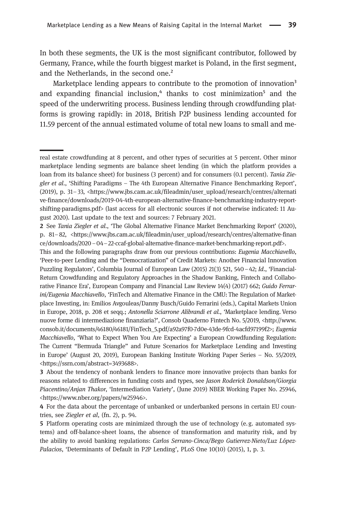In both these segments, the UK is the most significant contributor, followed by Germany, France, while the fourth biggest market is Poland, in the first segment, and the Netherlands, in the second one.²

Marketplace lending appears to contribute to the promotion of innovation<sup>3</sup> and expanding financial inclusion, $4$  thanks to cost minimization<sup>5</sup> and the speed of the underwriting process. Business lending through crowdfunding platforms is growing rapidly: in 2018, British P2P business lending accounted for 11.59 percent of the annual estimated volume of total new loans to small and me-

real estate crowdfunding at 8 percent, and other types of securities at 5 percent. Other minor marketplace lending segments are balance sheet lending (in which the platform provides a loan from its balance sheet) for business (3 percent) and for consumers (0.1 percent). Tania Ziegler et al., 'Shifting Paradigms – The 4th European Alternative Finance Benchmarking Report', (2019), p. 31–33, <[https://www.jbs.cam.ac.uk/fileadmin/user\\_upload/research/centres/alternati](https://www.jbs.cam.ac.uk/fileadmin/user_upload/research/centres/alternative-finance/downloads/2019-04-4th-european-alternative-finance-benchmarking-industry-report-shifting-paradigms.pdf) [ve-finance/downloads/2019-04-4th-european-alternative-finance-benchmarking-industry-report](https://www.jbs.cam.ac.uk/fileadmin/user_upload/research/centres/alternative-finance/downloads/2019-04-4th-european-alternative-finance-benchmarking-industry-report-shifting-paradigms.pdf)[shifting-paradigms.pdf>](https://www.jbs.cam.ac.uk/fileadmin/user_upload/research/centres/alternative-finance/downloads/2019-04-4th-european-alternative-finance-benchmarking-industry-report-shifting-paradigms.pdf) (last access for all electronic sources if not otherwise indicated: 11 August 2020). Last update to the text and sources: 7 February 2021.

<sup>2</sup> See Tania Ziegler et al., 'The Global Alternative Finance Market Benchmarking Report' (2020), p. 81–82, <https://www.jbs.cam.ac.uk/fileadmin/user\_upload/research/centres/alternative-finan ce/downloads/2020–04–22-ccaf-global-alternative-finance-market-benchmarking-report.pdf>.

This and the following paragraphs draw from our previous contributions: Eugenia Macchiavello, 'Peer-to-peer Lending and the "Democratization" of Credit Markets: Another Financial Innovation Puzzling Regulators', Columbia Journal of European Law (2015) 21(3) 521, 540–42; Id., 'Financial-Return Crowdfunding and Regulatory Approaches in the Shadow Banking, Fintech and Collaborative Finance Era', European Company and Financial Law Review 14(4) (2017) 662; Guido Ferrarini/Eugenia Macchiavello, 'FinTech and Alternative Finance in the CMU: The Regulation of Marketplace Investing, in: Emilios Avgouleas/Danny Busch/Guido Ferrarini (eds.), Capital Markets Union in Europe, 2018, p. 208 et seqq.; Antonella Sciarrone Alibrandi et al., 'Marketplace lending. Verso nuove forme di intermediazione finanziaria?', Consob Quaderno Fintech No. 5/2019, [<http://www.](http://www.consob.it/documents/46180/46181/FinTech_5.pdf/a92a97f0-7d0e-43de-9fcd-4acfd97199f2) [consob.it/documents/46180/46181/FinTech\\_5.pdf/a92a97f0-7d0e-43de-9fcd-4acfd97199f2](http://www.consob.it/documents/46180/46181/FinTech_5.pdf/a92a97f0-7d0e-43de-9fcd-4acfd97199f2)>; Eugenia Macchiavello, 'What to Expect When You Are Expecting' a European Crowdfunding Regulation: The Current "Bermuda Triangle" and Future Scenarios for Marketplace Lending and Investing in Europe' (August 20, 2019), European Banking Institute Working Paper Series – No. 55/2019, <<https://ssrn.com/abstract=3493688>>.

About the tendency of nonbank lenders to finance more innovative projects than banks for reasons related to differences in funding costs and types, see Jason Roderick Donaldson/Giorgia Piacentino/Anjan Thakor, 'Intermediation Variety', (June 2019) NBER Working Paper No. 25946, <[https://www.nber.org/papers/w25946>](https://www.nber.org/papers/w25946).

For the data about the percentage of unbanked or underbanked persons in certain EU countries, see Ziegler et al, (fn. 2), p. 94.

Platform operating costs are minimized through the use of technology (e. g. automated systems) and off-balance-sheet loans, the absence of transformation and maturity risk, and by the ability to avoid banking regulations: Carlos Serrano-Cinca/Bego Gutierrez-Nieto/Luz López-Palacios, 'Determinants of Default in P2P Lending', PLoS One 10(10) (2015), 1, p. 3.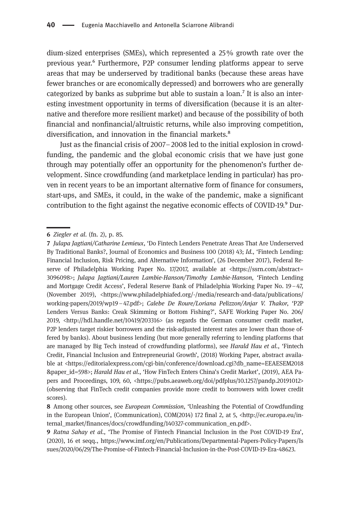dium-sized enterprises (SMEs), which represented a 25% growth rate over the previous year.⁶ Furthermore, P2P consumer lending platforms appear to serve areas that may be underserved by traditional banks (because these areas have fewer branches or are economically depressed) and borrowers who are generally categorized by banks as subprime but able to sustain a loan.<sup> $7$ </sup> It is also an interesting investment opportunity in terms of diversification (because it is an alternative and therefore more resilient market) and because of the possibility of both financial and nonfinancial/altruistic returns, while also improving competition, diversification, and innovation in the financial markets.<sup>8</sup>

Just as the financial crisis of 2007–2008 led to the initial explosion in crowdfunding, the pandemic and the global economic crisis that we have just gone through may potentially offer an opportunity for the phenomenon's further development. Since crowdfunding (and marketplace lending in particular) has proven in recent years to be an important alternative form of finance for consumers, start-ups, and SMEs, it could, in the wake of the pandemic, make a significant contribution to the fight against the negative economic effects of COVID-19.<sup>9</sup> Dur-

Ziegler et al. (fn. 2), p. 85.

<sup>7</sup> Julapa Jagtiani/Catharine Lemieux, 'Do Fintech Lenders Penetrate Areas That Are Underserved By Traditional Banks?, Journal of Economics and Business 100 (2018) 43; Id., 'Fintech Lending: Financial Inclusion, Risk Pricing, and Alternative Information', (26 December 2017), Federal Reserve of Philadelphia Working Paper No. 17/2017, available at <[https://ssrn.com/abstract=](https://ssrn.com/abstract=3096098) [3096098>](https://ssrn.com/abstract=3096098); Julapa Jagtiani/Lauren Lambie-Hanson/Timothy Lambie-Hanson, 'Fintech Lending and Mortgage Credit Access', Federal Reserve Bank of Philadelphia Working Paper No. 19–47, (November 2019), <https://www.philadelphiafed.org/-/media/research-and-data/publications/ working-papers/2019/wp19–47.pdf>; Calebe De Roure/Loriana Pelizzon/Anjar V. Thakor, 'P2P Lenders Versus Banks: Creak Skimming or Bottom Fishing?', SAFE Working Paper No. 206/ 2019, <<http://hdl.handle.net/10419/203316>> (as regards the German consumer credit market, P2P lenders target riskier borrowers and the risk-adjusted interest rates are lower than those offered by banks). About business lending (but more generally referring to lending platforms that are managed by Big Tech instead of crowdfunding platforms), see Harald Hau et al., 'Fintech Credit, Financial Inclusion and Entrepreneurial Growth', (2018) Working Paper, abstract available at <[https://editorialexpress.com/cgi-bin/conference/download.cgi?db\\_name=EEAESEM2018](https://editorialexpress.com/cgi-bin/conference/download.cgi?db_name=EEAESEM2018&paper_id=598) [&paper\\_id=598](https://editorialexpress.com/cgi-bin/conference/download.cgi?db_name=EEAESEM2018&paper_id=598)>; Harald Hau et al., 'How FinTech Enters China's Credit Market', (2019), AEA Papers and Proceedings, 109, 60, [<https://pubs.aeaweb.org/doi/pdfplus/10.1257/pandp.20191012>](https://pubs.aeaweb.org/doi/pdfplus/10.1257/pandp.20191012) (observing that FinTech credit companies provide more credit to borrowers with lower credit scores).

Among other sources, see European Commission, 'Unleashing the Potential of Crowdfunding in the European Union', (Communication), COM(2014) 172 final 2, at 5, <http://ec.europa.eu/internal\_market/finances/docs/crowdfunding/140327-communication\_en.pdf>.

Ratna Sahay et al., 'The Promise of Fintech Financial Inclusion in the Post COVID-19 Era', (2020), 16 et seqq., [https://www.imf.org/en/Publications/Departmental-Papers-Policy-Papers/Is](https://www.imf.org/en/Publications/Departmental-Papers-Policy-Papers/Issues/2020/06/29/The-Promise-of-Fintech-Financial-Inclusion-in-the-Post-COVID-19-Era-48623) [sues/2020/06/29/The-Promise-of-Fintech-Financial-Inclusion-in-the-Post-COVID-19-Era-48623.](https://www.imf.org/en/Publications/Departmental-Papers-Policy-Papers/Issues/2020/06/29/The-Promise-of-Fintech-Financial-Inclusion-in-the-Post-COVID-19-Era-48623)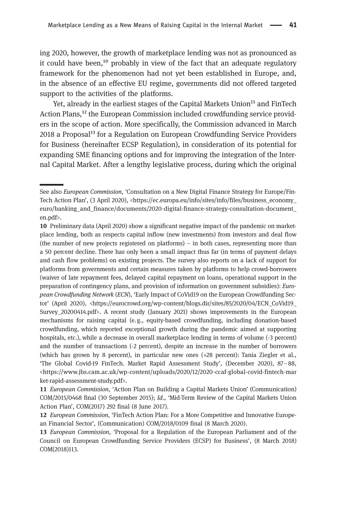ing 2020, however, the growth of marketplace lending was not as pronounced as it could have been,<sup>10</sup> probably in view of the fact that an adequate regulatory framework for the phenomenon had not yet been established in Europe, and, in the absence of an effective EU regime, governments did not offered targeted support to the activities of the platforms.

Yet, already in the earliest stages of the Capital Markets Union<sup>11</sup> and FinTech Action Plans,<sup>12</sup> the European Commission included crowdfunding service providers in the scope of action. More specifically, the Commission advanced in March 2018 a Proposal<sup>13</sup> for a Regulation on European Crowdfunding Service Providers for Business (hereinafter ECSP Regulation), in consideration of its potential for expanding SME financing options and for improving the integration of the Internal Capital Market. After a lengthy legislative process, during which the original

See also European Commission, 'Consultation on a New Digital Finance Strategy for Europe/Fin-Tech Action Plan', (3 April 2020), [<https://ec.europa.eu/info/sites/info/files/business\\_economy\\_](https://ec.europa.eu/info/sites/info/files/business_economy_euro/banking_and_finance/documents/2020-digital-finance-strategy-consultation-document_en.pdf) [euro/banking\\_and\\_finance/documents/2020-digital-finance-strategy-consultation-document\\_](https://ec.europa.eu/info/sites/info/files/business_economy_euro/banking_and_finance/documents/2020-digital-finance-strategy-consultation-document_en.pdf) [en.pdf>](https://ec.europa.eu/info/sites/info/files/business_economy_euro/banking_and_finance/documents/2020-digital-finance-strategy-consultation-document_en.pdf).

<sup>10</sup> Preliminary data (April 2020) show a significant negative impact of the pandemic on marketplace lending, both as respects capital inflow (new investments) from investors and deal flow (the number of new projects registered on platforms) – in both cases, representing more than a 50 percent decline. There has only been a small impact thus far (in terms of payment delays and cash flow problems) on existing projects. The survey also reports onalack of support for platforms from governments and certain measures taken by platforms to help crowd-borrowers (waiver of late repayment fees, delayed capital repayment on loans, operational support in the preparation of contingency plans, and provision of information on government subsidies): European Crowdfunding Network (ECN), 'Early Impact of CoVid19 on the European Crowdfunding Sector' (April 2020), <[https://eurocrowd.org/wp-content/blogs.dir/sites/85/2020/04/ECN\\_CoVid19\\_](https://eurocrowd.org/wp-content/blogs.dir/sites/85/2020/04/ECN_CoVid19_Survey_20200414.pdf) [Survey\\_20200414.pdf](https://eurocrowd.org/wp-content/blogs.dir/sites/85/2020/04/ECN_CoVid19_Survey_20200414.pdf)>. A recent study (January 2021) shows improvements in the European mechanisms for raising capital (e. g., equity-based crowdfunding, including donation-based crowdfunding, which reported exceptional growth during the pandemic aimed at supporting hospitals, etc.), while a decrease in overall marketplace lending in terms of volume (-3 percent) and the number of transactions (‐2 percent), despite an increase in the number of borrowers (which has grown by 8 percent), in particular new ones (+28 percent): Tania Ziegler et al., 'The Global Covid-19 FinTech. Market Rapid Assessment Study', (December 2020), 87–88, <[https://www.jbs.cam.ac.uk/wp-content/uploads/2020/12/2020-ccaf-global-covid-fintech-mar](https://www.jbs.cam.ac.uk/wp-content/uploads/2020/12/2020-ccaf-global-covid-fintech-market-rapid-assessment-study.pdf) [ket-rapid-assessment-study.pdf>](https://www.jbs.cam.ac.uk/wp-content/uploads/2020/12/2020-ccaf-global-covid-fintech-market-rapid-assessment-study.pdf).

<sup>11</sup> European Commission, 'Action Plan on Building a Capital Markets Union' (Communication) COM/2015/0468 final (30 September 2015); Id., 'Mid-Term Review of the Capital Markets Union Action Plan', COM(2017) 292 final (8 June 2017).

<sup>12</sup> European Commission, 'FinTech Action Plan: For a More Competitive and Innovative European Financial Sector', (Communication) COM/2018/0109 final (8 March 2020).

<sup>13</sup> *European Commission*, 'Proposal for a Regulation of the European Parliament and of the Council on European Crowdfunding Service Providers (ECSP) for Business', (8 March 2018) COM(2018)113.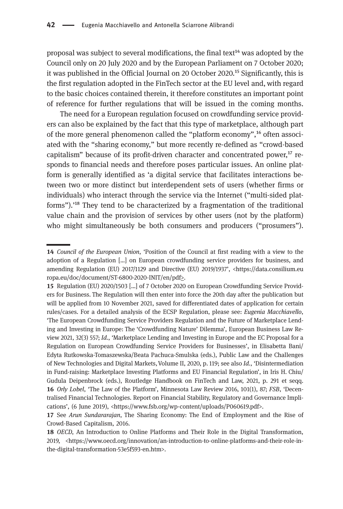proposal was subject to several modifications, the final text $^{14}$  was adopted by the Council only on 20 July 2020 and by the European Parliament on 7 October 2020; it was published in the Official Journal on 20 October 2020.<sup>15</sup> Significantly, this is the first regulation adopted in the FinTech sector at the EU level and, with regard to the basic choices contained therein, it therefore constitutes an important point of reference for further regulations that will be issued in the coming months.

The need for a European regulation focused on crowdfunding service providers can also be explained by the fact that this type of marketplace, although part of the more general phenomenon called the "platform economy",<sup>16</sup> often associated with the "sharing economy," but more recently re-defined as "crowd-based capitalism" because of its profit-driven character and concentrated power, $17$  responds to financial needs and therefore poses particular issues. An online platform is generally identified as 'a digital service that facilitates interactions between two or more distinct but interdependent sets of users (whether firms or individuals) who interact through the service via the Internet ("multi-sided platforms").<sup>18</sup> They tend to be characterized by a fragmentation of the traditional value chain and the provision of services by other users (not by the platform) who might simultaneously be both consumers and producers ("prosumers").

<sup>14</sup> Council of the European Union, 'Position of the Council at first reading with a view to the adoption of a Regulation […] on European crowdfunding service providers for business, and amending Regulation (EU) 2017/1129 and Directive (EU) 2019/1937', [<https://data.consilium.eu](https://data.consilium.europa.eu/doc/document/ST-6800-2020-INIT/en/pdf) [ropa.eu/doc/document/ST-6800-2020-INIT/en/pdf>](https://data.consilium.europa.eu/doc/document/ST-6800-2020-INIT/en/pdf).

<sup>15</sup> Regulation (EU) 2020/1503 [...] of 7 October 2020 on European Crowdfunding Service Providers for Business. The Regulation will then enter into force the 20th day after the publication but will be applied from 10 November 2021, saved for differentiated dates of application for certain rules/cases. For a detailed analysis of the ECSP Regulation, please see: Eugenia Macchiavello, 'The European Crowdfunding Service Providers Regulation and the Future of Marketplace Lending and Investing in Europe: The 'Crowdfunding Nature' Dilemma', European Business Law Review 2021, 32(3) 557; Id., 'Marketplace Lending and Investing in Europe and the EC Proposal for a Regulation on European Crowdfunding Service Providers for Businesses', in Elisabetta Bani/ Edyta Rutkowska-Tomaszewska/Beata Pachuca-Smulska (eds.), Public Law and the Challenges of New Technologies and Digital Markets, Volume II, 2020, p. 119; see also Id., 'Disintermediation in Fund-raising: Marketplace Investing Platforms and EU Financial Regulation', in Iris H. Chiu/ Gudula Deipenbrock (eds.), Routledge Handbook on FinTech and Law, 2021, p. 291 et seqq. 16 Orly Lobel, 'The Law of the Platform', Minnesota Law Review 2016, 101(1), 87; FSB, 'Decentralised Financial Technologies. Report on Financial Stability, Regulatory and Governance Implications', (6 June 2019), <[https://www.fsb.org/wp-content/uploads/P060619.pdf>](https://www.fsb.org/wp-content/uploads/P060619.pdf).

<sup>17</sup> See Arun Sundararajan, The Sharing Economy: The End of Employment and the Rise of Crowd-Based Capitalism, 2016.

<sup>18</sup> OECD, An Introduction to Online Platforms and Their Role in the Digital Transformation, 2019, <[https://www.oecd.org/innovation/an-introduction-to-online-platforms-and-their-role-in](https://www.oecd.org/innovation/an-introduction-to-online-platforms-and-their-role-in-the-digital-transformation-53e5f593-en.htm)[the-digital-transformation-53e5f593-en.htm>](https://www.oecd.org/innovation/an-introduction-to-online-platforms-and-their-role-in-the-digital-transformation-53e5f593-en.htm).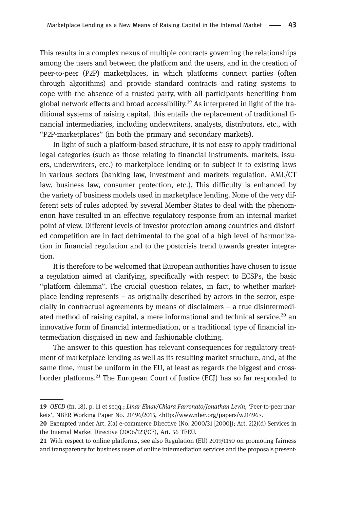This results in a complex nexus of multiple contracts governing the relationships among the users and between the platform and the users, and in the creation of peer-to-peer (P2P) marketplaces, in which platforms connect parties (often through algorithms) and provide standard contracts and rating systems to cope with the absence of a trusted party, with all participants benefiting from global network effects and broad accessibility.<sup>19</sup> As interpreted in light of the traditional systems of raising capital, this entails the replacement of traditional financial intermediaries, including underwriters, analysts, distributors, etc., with "P2P-marketplaces" (in both the primary and secondary markets).

In light of such a platform-based structure, it is not easy to apply traditional legal categories (such as those relating to financial instruments, markets, issuers, underwriters, etc.) to marketplace lending or to subject it to existing laws in various sectors (banking law, investment and markets regulation, AML/CT law, business law, consumer protection, etc.). This difficulty is enhanced by the variety of business models used in marketplace lending. None of the very different sets of rules adopted by several Member States to deal with the phenomenon have resulted in an effective regulatory response from an internal market point of view. Different levels of investor protection among countries and distorted competition are in fact detrimental to the goal of a high level of harmonization in financial regulation and to the postcrisis trend towards greater integration.

It is therefore to be welcomed that European authorities have chosen to issue a regulation aimed at clarifying, specifically with respect to ECSPs, the basic "platform dilemma". The crucial question relates, in fact, to whether marketplace lending represents – as originally described by actors in the sector, especially in contractual agreements by means of disclaimers – a true disintermediated method of raising capital, a mere informational and technical service,<sup>20</sup> an innovative form of financial intermediation, or a traditional type of financial intermediation disguised in new and fashionable clothing.

The answer to this question has relevant consequences for regulatory treatment of marketplace lending as well as its resulting market structure, and, at the same time, must be uniform in the EU, at least as regards the biggest and crossborder platforms.<sup>21</sup> The European Court of Justice (ECJ) has so far responded to

<sup>19</sup> OECD (fn. 18), p. 11 et seqq.; Linar Einav[/Chiara Farronato/](https://www.nber.org/people/chiara_farronato)[Jonathan Levin](https://www.nber.org/people/jonathan_levin), 'Peer-to-peer markets', NBER Working Paper No. 21496/2015, [<http://www.nber.org/papers/w21496](http://www.nber.org/papers/w21496)>.

Exempted under Art. 2(a) e-commerce Directive (No. 2000/31 [2000]); Art. 2(2)(d) Services in the Internal Market Directive (2006/123/CE), Art. 56 TFEU.

With respect to online platforms, see also Regulation (EU) 2019/1150 on promoting fairness and transparency for business users of online intermediation services and the proposals present-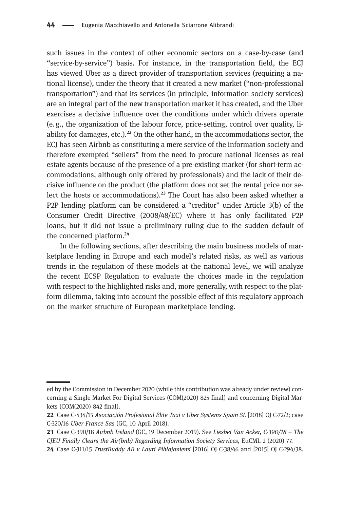such issues in the context of other economic sectors on a case-by-case (and "service-by-service") basis. For instance, in the transportation field, the ECJ has viewed Uber as a direct provider of transportation services (requiring a national license), under the theory that it created a new market ("non-professional transportation") and that its services (in principle, information society services) are an integral part of the new transportation market it has created, and the Uber exercises a decisive influence over the conditions under which drivers operate (e. g., the organization of the labour force, price-setting, control over quality, liability for damages, etc.). $^{22}$  On the other hand, in the accommodations sector, the ECJ has seen Airbnb as constituting a mere service of the information society and therefore exempted "sellers" from the need to procure national licenses as real estate agents because of the presence of a pre-existing market (for short-term accommodations, although only offered by professionals) and the lack of their decisive influence on the product (the platform does not set the rental price nor select the hosts or accommodations).<sup>23</sup> The Court has also been asked whether a P2P lending platform can be considered a "creditor" under Article 3(b) of the Consumer Credit Directive (2008/48/EC) where it has only facilitated P2P loans, but it did not issue a preliminary ruling due to the sudden default of the concerned platform.<sup>24</sup>

In the following sections, after describing the main business models of marketplace lending in Europe and each model's related risks, as well as various trends in the regulation of these models at the national level, we will analyze the recent ECSP Regulation to evaluate the choices made in the regulation with respect to the highlighted risks and, more generally, with respect to the platform dilemma, taking into account the possible effect of this regulatory approach on the market structure of European marketplace lending.

ed by the Commission in December 2020 (while this contribution was already under review) concerning a Single Market For Digital Services (COM(2020) 825 final) and concerning Digital Markets (COM(2020) 842 final).

<sup>22</sup> Case C-434/15 Asociación Profesional Élite Taxi v Uber Systems Spain SL [2018] OJ C-72/2; case C-320/16 Uber France Sas (GC, 10 April 2018).

<sup>23</sup> Case C-390/18 Airbnb Ireland (GC, 19 December 2019). See Liesbet Van Acker, C-390/18 - The CJEU Finally Clears the Air(bnb) Regarding Information Society Services, EuCML 2 (2020) 77.

Case C-311/15 TrustBuddy AB v Lauri Pihlajaniemi [2016] OJ C-38/46 and [2015] OJ C-294/38.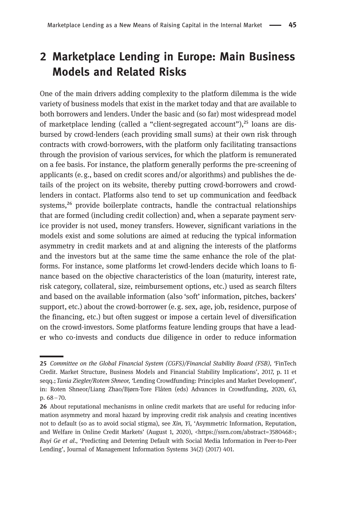## 2 Marketplace Lending in Europe: Main Business Models and Related Risks

One of the main drivers adding complexity to the platform dilemma is the wide variety of business models that exist in the market today and that are available to both borrowers and lenders. Under the basic and (so far) most widespread model of marketplace lending (called a "client-segregated account"), $25$  loans are disbursed by crowd-lenders (each providing small sums) at their own risk through contracts with crowd-borrowers, with the platform only facilitating transactions through the provision of various services, for which the platform is remunerated on a fee basis. For instance, the platform generally performs the pre-screening of applicants (e.g., based on credit scores and/or algorithms) and publishes the details of the project on its website, thereby putting crowd-borrowers and crowdlenders in contact. Platforms also tend to set up communication and feedback systems,<sup>26</sup> provide boilerplate contracts, handle the contractual relationships that are formed (including credit collection) and, when a separate payment service provider is not used, money transfers. However, significant variations in the models exist and some solutions are aimed at reducing the typical information asymmetry in credit markets and at and aligning the interests of the platforms and the investors but at the same time the same enhance the role of the platforms. For instance, some platforms let crowd-lenders decide which loans to finance based on the objective characteristics of the loan (maturity, interest rate, risk category, collateral, size, reimbursement options, etc.) used as search filters and based on the available information (also 'soft' information, pitches, backers' support, etc.) about the crowd-borrower (e. g. sex, age, job, residence, purpose of the financing, etc.) but often suggest or impose a certain level of diversification on the crowd-investors. Some platforms feature lending groups that have a leader who co-invests and conducts due diligence in order to reduce information

<sup>25</sup> Committee on the Global Financial System (CGFS)/Financial Stability Board (FSB), 'FinTech Credit. Market Structure, Business Models and Financial Stability Implications', 2017, p. 11 et seqq.; Tania Ziegler/Rotem Shneor, 'Lending Crowdfunding: Principles and Market Development', in: Roten Shneor/Liang Zhao/Bjørn-Tore Flåten (eds) Advances in Crowdfunding, 2020, 63, p. 68–70.

<sup>26</sup> About reputational mechanisms in online credit markets that are useful for reducing information asymmetry and moral hazard by improving credit risk analysis and creating incentives not to default (so as to avoid social stigma), see Xin, Yi, 'Asymmetric Information, Reputation, and Welfare in Online Credit Markets' (August 1, 2020), <[https://ssrn.com/abstract=3580468>](https://ssrn.com/abstract=3580468); Ruyi Ge et al., 'Predicting and Deterring Default with Social Media Information in Peer-to-Peer Lending', Journal of Management Information Systems 34(2) (2017) 401.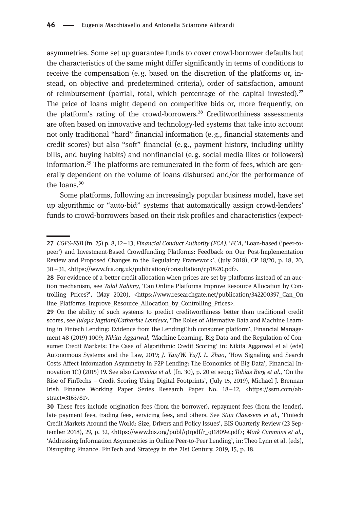asymmetries. Some set up guarantee funds to cover crowd-borrower defaults but the characteristics of the same might differ significantly in terms of conditions to receive the compensation (e. g. based on the discretion of the platforms or, instead, on objective and predetermined criteria), order of satisfaction, amount of reimbursement (partial, total, which percentage of the capital invested). $^{27}$ The price of loans might depend on competitive bids or, more frequently, on the platform's rating of the crowd-borrowers.<sup>28</sup> Creditworthiness assessments are often based on innovative and technology-led systems that take into account not only traditional "hard" financial information (e. g., financial statements and credit scores) but also "soft" financial (e.g., payment history, including utility bills, and buying habits) and nonfinancial (e. g. social media likes or followers) information.<sup>29</sup> The platforms are remunerated in the form of fees, which are generally dependent on the volume of loans disbursed and/or the performance of the loans.<sup>30</sup>

Some platforms, following an increasingly popular business model, have set up algorithmic or "auto-bid" systems that automatically assign crowd-lenders' funds to crowd-borrowers based on their risk profiles and characteristics (expect-

<sup>27</sup> CGFS-FSB (fn. 25) p. 8, 12-13; Financial Conduct Authority (FCA), 'FCA, 'Loan-based ('peer-topeer') and Investment-Based Crowdfunding Platforms: Feedback on Our Post-Implementation Review and Proposed Changes to the Regulatory Framework', (July 2018), CP 18/20, p. 18, 20, 30 –31, <<https://www.fca.org.uk/publication/consultation/cp18-20.pdf>>.

<sup>28</sup> For evidence of a better credit allocation when prices are set by platforms instead of an auction mechanism, see Talal Rahimy, 'Can Online Platforms Improve Resource Allocation by Controlling Prices?', (May 2020), <[https://www.researchgate.net/publication/342200397\\_Can\\_On](https://www.researchgate.net/publication/342200397_Can_Online_Platforms_Improve_Resource_Allocation_by_Controlling_Prices) [line\\_Platforms\\_Improve\\_Resource\\_Allocation\\_by\\_Controlling\\_Prices>](https://www.researchgate.net/publication/342200397_Can_Online_Platforms_Improve_Resource_Allocation_by_Controlling_Prices).

<sup>29</sup> On the ability of such systems to predict creditworthiness better than traditional credit scores, see Julapa Jagtiani/Catharine Lemieux, 'The Roles of Alternative Data and Machine Learning in Fintech Lending: Evidence from the LendingClub consumer platform', Financial Management 48 (2019) 1009; Nikita Aggarwal, 'Machine Learning, Big Data and the Regulation of Consumer Credit Markets: The Case of Algorithmic Credit Scoring' in: Nikita Aggarwal et al (eds) Autonomous Systems and the Law, 2019; J. Yan/W. Yu/J. L. Zhao, 'How Signaling and Search Costs Affect Information Asymmetry in P2P Lending: The Economics of Big Data', Financial Innovation 1(1) (2015) 19. See also Cummins et al. (fn. 30), p. 20 et seqq.; Tobias Berg et al., 'On the Rise of FinTechs – Credit Scoring Using Digital Footprints', (July 15, 2019), Michael J. Brennan Irish Finance Working Paper Series Research Paper No. 18–12, <https://ssrn.com/abstract=3163781>.

These fees include origination fees (from the borrower), repayment fees (from the lender), late payment fees, trading fees, servicing fees, and others. See Stijn Claessens et al., 'Fintech Credit Markets Around the World: Size, Drivers and Policy Issues', BIS Quarterly Review (23 Sep-tember 2018), 29, p. 32, [<https://www.bis.org/publ/qtrpdf/r\\_qt1809e.pdf](https://www.bis.org/publ/qtrpdf/r_qt1809e.pdf)>; Mark Cummins et al., 'Addressing Information Asymmetries in Online Peer-to-Peer Lending', in: Theo Lynn et al. (eds), Disrupting Finance. FinTech and Strategy in the 21st Century, 2019, 15, p. 18.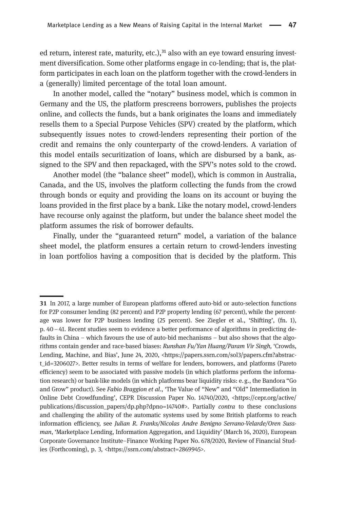ed return, interest rate, maturity, etc.), $31$  also with an eye toward ensuring investment diversification. Some other platforms engage in co-lending; that is, the platform participates in each loan on the platform together with the crowd-lenders in a (generally) limited percentage of the total loan amount.

In another model, called the "notary" business model, which is common in Germany and the US, the platform prescreens borrowers, publishes the projects online, and collects the funds, but a bank originates the loans and immediately resells them to a Special Purpose Vehicles (SPV) created by the platform, which subsequently issues notes to crowd-lenders representing their portion of the credit and remains the only counterparty of the crowd-lenders. A variation of this model entails securitization of loans, which are disbursed by a bank, assigned to the SPV and then repackaged, with the SPV's notes sold to the crowd.

Another model (the "balance sheet" model), which is common in Australia, Canada, and the US, involves the platform collecting the funds from the crowd through bonds or equity and providing the loans on its account or buying the loans provided in the first place by a bank. Like the notary model, crowd-lenders have recourse only against the platform, but under the balance sheet model the platform assumes the risk of borrower defaults.

Finally, under the "guaranteed return" model, a variation of the balance sheet model, the platform ensures a certain return to crowd-lenders investing in loan portfolios having a composition that is decided by the platform. This

In 2017, a large number of European platforms offered auto-bid or auto-selection functions for P2P consumer lending (82 percent) and P2P property lending (67 percent), while the percentage was lower for P2P business lending (25 percent). See Ziegler et al., 'Shifting', (fn. 1), p. 40–41. Recent studies seem to evidence a better performance of algorithms in predicting defaults in China – which favours the use of auto-bid mechanisms – but also shows that the algorithms contain gender and race-based biases: Runshan Fu/Yan Huang/Param Vir Singh, 'Crowds, Lending, Machine, and Bias', June 24, 2020, <https://papers.ssrn.com/sol3/papers.cfm?abstract\_id=3206027>. Better results in terms of welfare for lenders, borrowers, and platforms (Pareto efficiency) seem to be associated with passive models (in which platforms perform the information research) or bank-like models (in which platforms bear liquidity risks: e. g., the Bandora "Go and Grow" product). See Fabio Braggion et al., 'The Value of "New" and "Old" Intermediation in Online Debt Crowdfunding', CEPR Discussion Paper No. 14740/2020, <https://cepr.org/active/ publications/discussion\_papers/dp.php?dpno=14740#>. Partially contra to these conclusions and challenging the ability of the automatic systems used by some British platforms to reach information efficiency, see Julian R. Franks/Nicolas Andre Benigno Serrano-Velarde/Oren Sussman, 'Marketplace Lending, Information Aggregation, and Liquidity' (March 16, 2020), European Corporate Governance Institute–Finance Working Paper No. 678/2020, Review of Financial Studies (Forthcoming), p. 3, [<https://ssrn.com/abstract=2869945](https://ssrn.com/abstract=2869945)>.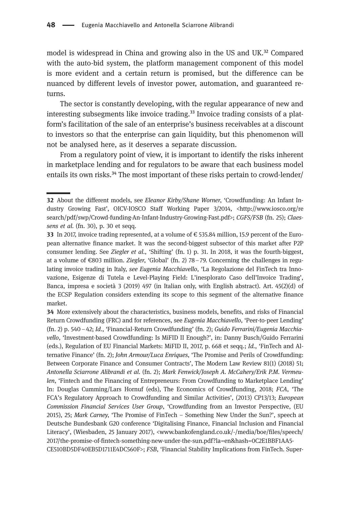model is widespread in China and growing also in the US and UK.<sup>32</sup> Compared with the auto-bid system, the platform management component of this model is more evident and a certain return is promised, but the difference can be nuanced by different levels of investor power, automation, and guaranteed returns.

The sector is constantly developing, with the regular appearance of new and interesting subsegments like invoice trading. $33$  Invoice trading consists of a platform's facilitation of the sale of an enterprise's business receivables at a discount to investors so that the enterprise can gain liquidity, but this phenomenon will not be analysed here, as it deserves a separate discussion.

From a regulatory point of view, it is important to identify the risks inherent in marketplace lending and for regulators to be aware that each business model entails its own risks.<sup>34</sup> The most important of these risks pertain to crowd-lender/

<sup>32</sup> About the different models, see Eleanor Kirby/Shane Worner, 'Crowdfunding: An Infant Industry Growing Fast', OICV-IOSCO Staff Working Paper 3/2014, <[http://www.iosco.org/re](http://www.iosco.org/research/pdf/swp/Crowd-funding-An-Infant-Industry-Growing-Fast.pdf) [search/pdf/swp/Crowd-funding-An-Infant-Industry-Growing-Fast.pdf](http://www.iosco.org/research/pdf/swp/Crowd-funding-An-Infant-Industry-Growing-Fast.pdf)>; CGFS/FSB (fn. 25); Claessens et al. (fn. 30), p. 30 et seqq.

<sup>33</sup> In 2017, invoice trading represented, at a volume of  $\epsilon$  535.84 million, 15.9 percent of the European alternative finance market. It was the second-biggest subsector of this market after P2P consumer lending. See Ziegler et al., 'Shifting' (fn. 1) p. 31. In 2018, it was the fourth-biggest, at a volume of  $\epsilon$ 803 million. *Ziegler*, 'Global' (fn. 2) 78–79. Concerning the challenges in regulating invoice trading in Italy, see Eugenia Macchiavello, 'La Regolazione del FinTech tra Innovazione, Esigenze di Tutela e Level-Playing Field: L'inesplorato Caso dell'Invoice Trading', Banca, impresa e società 3 (2019) 497 (in Italian only, with English abstract). Art. 45(2)(d) of the ECSP Regulation considers extending its scope to this segment of the alternative finance market.

<sup>34</sup> More extensively about the characteristics, business models, benefits, and risks of Financial Return Crowdfunding (FRC) and for references, see Eugenia Macchiavello, 'Peer-to-peer Lending' (fn. 2) p. 540–42; Id., 'Financial-Return Crowdfunding' (fn. 2); Guido Ferrarini/Eugenia Macchiavello, 'Investment-based Crowdfunding: Is MiFID II Enough?', in: Danny Busch/Guido Ferrarini (eds.), Regulation of EU Financial Markets: MiFID II, 2017, p. 668 et seqq.; Id., 'FinTech and Alternative Finance' (fn. 2); John Armour/Luca Enriques, 'The Promise and Perils of Crowdfunding: Between Corporate Finance and Consumer Contracts', The Modern Law Review 81(1) (2018) 51; Antonella Sciarrone Alibrandi et al. (fn. 2); Mark Fenwick/Joseph A. McCahery/Erik P.M. Vermeulen, 'Fintech and the Financing of Entrepreneurs: From Crowdfunding to Marketplace Lending' In: Douglas Cumming/Lars Hornuf (eds), The Economics of Crowdfunding, 2018; FCA, 'The FCA's Regulatory Approach to Crowdfunding and Similar Activities', (2013) CP13/13; European Commission Financial Services User Group, 'Crowdfunding from an Investor Perspective, (EU 2015), 25; Mark Carney, 'The Promise of FinTech – Something New Under the Sun?', speech at Deutsche Bundesbank G20 conference 'Digitalising Finance, Financial Inclusion and Financial Literacy', (Wiesbaden, 25 January 2017), <www.bankofengland.co.uk/-/media/boe/files/speech/ 2017/the-promise-of-fintech-something-new-under-the-sun.pdf?la=en&hash=0C2E1BBF1AA5- CE510BD5DF40EB5D1711E4DC560F>; FSB, 'Financial Stability Implications from FinTech. Super-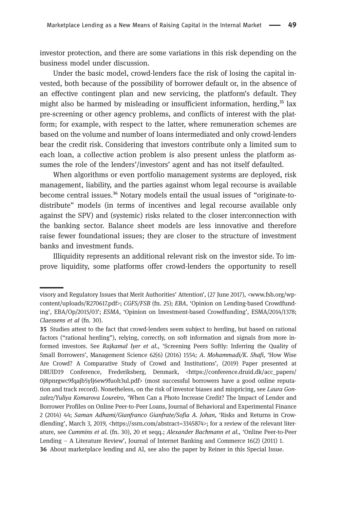investor protection, and there are some variations in this risk depending on the business model under discussion.

Under the basic model, crowd-lenders face the risk of losing the capital invested, both because of the possibility of borrower default or, in the absence of an effective contingent plan and new servicing, the platform's default. They might also be harmed by misleading or insufficient information, herding, $35$  lax pre-screening or other agency problems, and conflicts of interest with the platform; for example, with respect to the latter, where remuneration schemes are based on the volume and number of loans intermediated and only crowd-lenders bear the credit risk. Considering that investors contribute only a limited sum to each loan, a collective action problem is also present unless the platform assumes the role of the lenders'/investors' agent and has not itself defaulted.

When algorithms or even portfolio management systems are deployed, risk management, liability, and the parties against whom legal recourse is available become central issues.<sup>36</sup> Notary models entail the usual issues of "originate-todistribute" models (in terms of incentives and legal recourse available only against the SPV) and (systemic) risks related to the closer interconnection with the banking sector. Balance sheet models are less innovative and therefore raise fewer foundational issues; they are closer to the structure of investment banks and investment funds.

Illiquidity represents an additional relevant risk on the investor side. To improve liquidity, some platforms offer crowd-lenders the opportunity to resell

visory and Regulatory Issues that Merit Authorities' Attention', (27 June 2017), <www.fsb.org/wpcontent/uploads/R270617.pdf>; CGFS/FSB (fn. 25); EBA, 'Opinion on Lending-based Crowdfunding', EBA/Op/2015/03'; ESMA, 'Opinion on Investment-based Crowdfunding', ESMA/2014/1378; Claessens et al (fn. 30).

Studies attest to the fact that crowd-lenders seem subject to herding, but based on rational factors ("rational herding"), relying, correctly, on soft information and signals from more informed investors. See Rajkamal Iyer et al., 'Screening Peers Softly: Inferring the Quality of Small Borrowers', Management Science 62(6) (2016) 1554; A. Mohammadi/K. Shafi, 'How Wise Are Crowd? A Comparative Study of Crowd and Institutions', (2019) Paper presented at DRUID19 Conference, Frederiksberg, Denmark, <[https://conference.druid.dk/acc\\_papers/](https://conference.druid.dk/acc_papers/0j8pnrgwc9fqajb5ylj6ew9fuoh3ul.pdf) [0j8pnrgwc9fqajb5ylj6ew9fuoh3ul.pdf>](https://conference.druid.dk/acc_papers/0j8pnrgwc9fqajb5ylj6ew9fuoh3ul.pdf) (most successful borrowers have a good online reputation and track record). Nonetheless, on the risk of investor biases and mispricing, see Laura Gonzalez/Yuliya Komarova Loureiro, 'When Can a Photo Increase Credit? The Impact of Lender and Borrower Profiles on Online Peer-to-Peer Loans, Journal of Behavioral and Experimental Finance 2 (2014) 44; Saman Adhami/Gianfranco Gianfrate/Sofia A. Johan, 'Risks and Returns in Crow-dlending', March 3, 2019, [<https://ssrn.com/abstract=3345874>](https://ssrn.com/abstract=3345874); for a review of the relevant literature, see Cummins et al. (fn. 30), 20 et seqq.; Alexander Bachmann et al., 'Online Peer-to-Peer Lending – A Literature Review', Journal of Internet Banking and Commerce 16(2) (2011) 1. About marketplace lending and AI, see also the paper by Reiner in this Special Issue.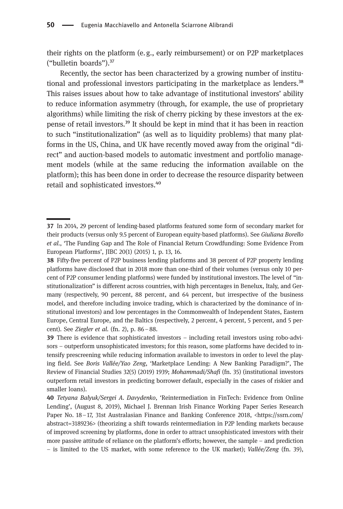their rights on the platform (e. g., early reimbursement) or on P2P marketplaces ("bulletin boards"). $37$ 

Recently, the sector has been characterized by a growing number of institutional and professional investors participating in the marketplace as lenders.<sup>38</sup> This raises issues about how to take advantage of institutional investors' ability to reduce information asymmetry (through, for example, the use of proprietary algorithms) while limiting the risk of cherry picking by these investors at the expense of retail investors.<sup>39</sup> It should be kept in mind that it has been in reaction to such "institutionalization" (as well as to liquidity problems) that many platforms in the US, China, and UK have recently moved away from the original "direct" and auction-based models to automatic investment and portfolio management models (while at the same reducing the information available on the platform); this has been done in order to decrease the resource disparity between retail and sophisticated investors.<sup>40</sup>

In 2014, 29 percent of lending-based platforms featured some form of secondary market for their products (versus only 9.5 percent of European equity-based platforms). See Giuliana Borello et al., 'The Funding Gap and The Role of Financial Return Crowdfunding: Some Evidence From European Platforms', JIBC 20(1) (2015) 1, p. 13, 16.

Fifty-five percent of P2P business lending platforms and 38 percent of P2P property lending platforms have disclosed that in 2018 more than one-third of their volumes (versus only 10 percent of P2P consumer lending platforms) were funded by institutional investors. The level of "institutionalization" is different across countries, with high percentages in Benelux, Italy, and Germany (respectively, 90 percent, 88 percent, and 64 percent, but irrespective of the business model, and therefore including invoice trading, which is characterized by the dominance of institutional investors) and low percentages in the Commonwealth of Independent States, Eastern Europe, Central Europe, and the Baltics (respectively, 2 percent, 4 percent, 5 percent, and 5 percent). See Ziegler et al. (fn. 2), p. 86–88.

There is evidence that sophisticated investors – including retail investors using robo-advisors – outperform unsophisticated investors; for this reason, some platforms have decided to intensify prescreening while reducing information available to investors in order to level the playing field. See Boris Vallée/Yao Zeng, 'Marketplace Lending: A New Banking Paradigm?', The Review of Financial Studies 32(5) (2019) 1939; Mohammadi/Shafi (fn. 35) (institutional investors outperform retail investors in predicting borrower default, especially in the cases of riskier and smaller loans).

<sup>40</sup> Tetyana Balyuk/Sergei A. Davydenko, 'Reintermediation in FinTech: Evidence from Online Lending', (August 8, 2019), Michael J. Brennan Irish Finance Working Paper Series Research Paper No. 18–17, 31st Australasian Finance and Banking Conference 2018, <[https://ssrn.com/](https://ssrn.com/abstract=3189236) [abstract=3189236>](https://ssrn.com/abstract=3189236) (theorizing a shift towards reintermediation in P2P lending markets because of improved screening by platforms, done in order to attract unsophisticated investors with their more passive attitude of reliance on the platform's efforts; however, the sample – and prediction – is limited to the US market, with some reference to the UK market); Vallée/Zeng (fn. 39),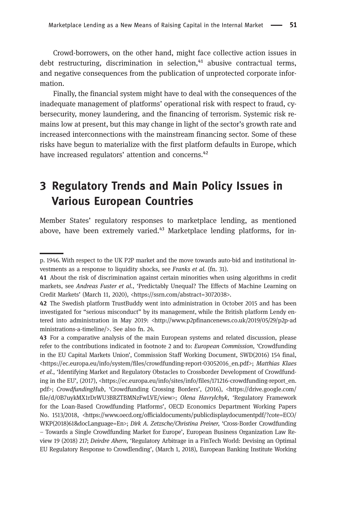Crowd-borrowers, on the other hand, might face collective action issues in debt restructuring, discrimination in selection, $41$  abusive contractual terms, and negative consequences from the publication of unprotected corporate information.

Finally, the financial system might have to deal with the consequences of the inadequate management of platforms' operational risk with respect to fraud, cybersecurity, money laundering, and the financing of terrorism. Systemic risk remains low at present, but this may change in light of the sector's growth rate and increased interconnections with the mainstream financing sector. Some of these risks have begun to materialize with the first platform defaults in Europe, which have increased regulators' attention and concerns.<sup>42</sup>

## 3 Regulatory Trends and Main Policy Issues in Various European Countries

Member States' regulatory responses to marketplace lending, as mentioned above, have been extremely varied.<sup>43</sup> Marketplace lending platforms, for in-

p. 1946. With respect to the UK P2P market and the move towards auto-bid and institutional investments as a response to liquidity shocks, see Franks et al. (fn. 31).

About the risk of discrimination against certain minorities when using algorithms in credit markets, see Andreas Fuster et al., 'Predictably Unequal? The Effects of Machine Learning on Credit Markets' (March 11, 2020), <https://ssrn.com/abstract=3072038>.

The Swedish platform TrustBuddy went into administration in October 2015 and has been investigated for "serious misconduct" by its management, while the British platform Lendy entered into administration in May 2019: <[http://www.p2pfinancenews.co.uk/2019/05/29/p2p-ad](http://www.p2pfinancenews.co.uk/2019/05/29/p2p-administrations-a-timeline/) [ministrations-a-timeline/>](http://www.p2pfinancenews.co.uk/2019/05/29/p2p-administrations-a-timeline/). See also fn. 24.

<sup>43</sup> For a comparative analysis of the main European systems and related discussion, please refer to the contributions indicated in footnote 2 and to: European Commission, 'Crowdfunding in the EU Capital Markets Union', Commission Staff Working Document, SWD(2016) 154 final, <https://ec.europa.eu/info/system/files/crowdfunding-report-03052016\_en.pdf>; Matthias Klaes et al., 'Identifying Market and Regulatory Obstacles to Crossborder Development of Crowdfunding in the EU', (2017), <[https://ec.europa.eu/info/sites/info/files/171216-crowdfunding-report\\_en.](https://ec.europa.eu/info/sites/info/files/171216-crowdfunding-report_en.pdf) [pdf](https://ec.europa.eu/info/sites/info/files/171216-crowdfunding-report_en.pdf)>; CrowdfundingHub, 'Crowdfunding Crossing Borders', (2016), <https://drive.google.com/ file/d/0B7uykMX1rDrWU3BRZTBMNzFwLVE/view>; Olena Havrylchyk, 'Regulatory Framework for the Loan-Based Crowdfunding Platforms', OECD Economics Department Working Papers No. 1513/2018, [<https://www.oecd.org/officialdocuments/publicdisplaydocumentpdf/?cote=ECO/](https://www.oecd.org/officialdocuments/publicdisplaydocumentpdf/?cote=ECO/WKP(2018)61&docLanguage=En) [WKP\(2018\)61&docLanguage=En](https://www.oecd.org/officialdocuments/publicdisplaydocumentpdf/?cote=ECO/WKP(2018)61&docLanguage=En)>; Dirk A. Zetzsche/Christina Preiner, 'Cross-Border Crowdfunding – Towards a Single Crowdfunding Market for Europe', European Business Organization Law Review 19 (2018) 217; Deirdre Ahern, 'Regulatory Arbitrage in a FinTech World: Devising an Optimal EU Regulatory Response to Crowdlending', (March 1, 2018), European Banking Institute Working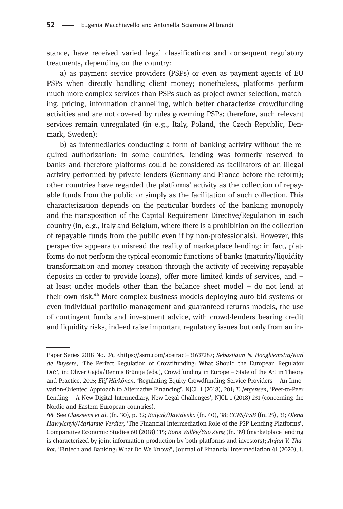stance, have received varied legal classifications and consequent regulatory treatments, depending on the country:

a) as payment service providers (PSPs) or even as payment agents of EU PSPs when directly handling client money; nonetheless, platforms perform much more complex services than PSPs such as project owner selection, matching, pricing, information channelling, which better characterize crowdfunding activities and are not covered by rules governing PSPs; therefore, such relevant services remain unregulated (in e. g., Italy, Poland, the Czech Republic, Denmark, Sweden);

b) as intermediaries conducting a form of banking activity without the required authorization: in some countries, lending was formerly reserved to banks and therefore platforms could be considered as facilitators of an illegal activity performed by private lenders (Germany and France before the reform); other countries have regarded the platforms' activity as the collection of repayable funds from the public or simply as the facilitation of such collection. This characterization depends on the particular borders of the banking monopoly and the transposition of the Capital Requirement Directive/Regulation in each country (in, e. g., Italy and Belgium, where there is a prohibition on the collection of repayable funds from the public even if by non-professionals). However, this perspective appears to misread the reality of marketplace lending: in fact, platforms do not perform the typical economic functions of banks (maturity/liquidity transformation and money creation through the activity of receiving repayable deposits in order to provide loans), offer more limited kinds of services, and – at least under models other than the balance sheet model – do not lend at their own risk.⁴⁴ More complex business models deploying auto-bid systems or even individual portfolio management and guaranteed returns models, the use of contingent funds and investment advice, with crowd-lenders bearing credit and liquidity risks, indeed raise important regulatory issues but only from an in-

Paper Series 2018 No. 24, [<https://ssrn.com/abstract=3163728>](https://ssrn.com/abstract=3163728); Sebastiaan N. Hooghiemstra/Karl de Buysere, 'The Perfect Regulation of Crowdfunding: What Should the European Regulator Do?', in: Oliver Gajda/Dennis Brüntje (eds.), Crowdfunding in Europe – State of the Art in Theory and Practice, 2015; Elif Härkönen, 'Regulating Equity Crowdfunding Service Providers – An Innovation-Oriented Approach to Alternative Financing', NJCL 1 (2018), 201; T. Jørgensen, 'Peer-to-Peer Lending – A New Digital Intermediary, New Legal Challenges', NJCL 1 (2018) 231 (concerning the Nordic and Eastern European countries).

See Claessens et al. (fn. 30), p. 32; Balyuk/Davidenko (fn. 40), 38; CGFS/FSB (fn. 25), 31; Olena Havrylchyk/Marianne Verdier, 'The Financial Intermediation Role of the P2P Lending Platforms', Comparative Economic Studies 60 (2018) 115; Boris Vallée/Yao Zeng (fn. 39) (marketplace lending is characterized by joint information production by both platforms and investors); Anjan V. Thakor, 'Fintech and Banking: What Do We Know?', Journal of Financial Intermediation 41 (2020), 1.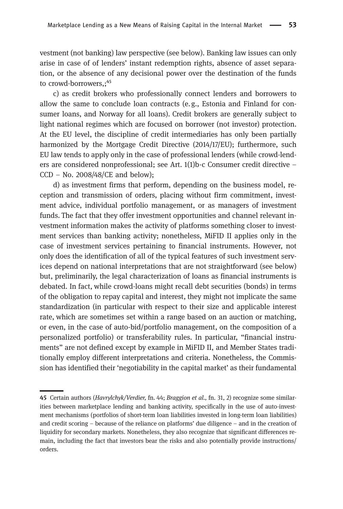vestment (not banking) law perspective (see below). Banking law issues can only arise in case of of lenders' instant redemption rights, absence of asset separation, or the absence of any decisional power over the destination of the funds to crowd-borrowers.: 45

c) as credit brokers who professionally connect lenders and borrowers to allow the same to conclude loan contracts (e. g., Estonia and Finland for consumer loans, and Norway for all loans). Credit brokers are generally subject to light national regimes which are focused on borrower (not investor) protection. At the EU level, the discipline of credit intermediaries has only been partially harmonized by the Mortgage Credit Directive (2014/17/EU); furthermore, such EU law tends to apply only in the case of professional lenders (while crowd-lenders are considered nonprofessional; see Art. 1(1)b-c Consumer credit directive –  $CCD - No. 2008/48/CE$  and below);

d) as investment firms that perform, depending on the business model, reception and transmission of orders, placing without firm commitment, investment advice, individual portfolio management, or as managers of investment funds. The fact that they offer investment opportunities and channel relevant investment information makes the activity of platforms something closer to investment services than banking activity; nonetheless, MiFID II applies only in the case of investment services pertaining to financial instruments. However, not only does the identification of all of the typical features of such investment services depend on national interpretations that are not straightforward (see below) but, preliminarily, the legal characterization of loans as financial instruments is debated. In fact, while crowd-loans might recall debt securities (bonds) in terms of the obligation to repay capital and interest, they might not implicate the same standardization (in particular with respect to their size and applicable interest rate, which are sometimes set within a range based on an auction or matching, or even, in the case of auto-bid/portfolio management, on the composition of a personalized portfolio) or transferability rules. In particular, "financial instruments" are not defined except by example in MiFID II, and Member States traditionally employ different interpretations and criteria. Nonetheless, the Commission has identified their 'negotiability in the capital market' as their fundamental

<sup>45</sup> Certain authors (Havrylchyk/Verdier, fn. 44; Braggion et al., fn. 31, 2) recognize some similarities between marketplace lending and banking activity, specifically in the use of auto-investment mechanisms (portfolios of short-term loan liabilities invested in long-term loan liabilities) and credit scoring – because of the reliance on platforms' due diligence – and in the creation of liquidity for secondary markets. Nonetheless, they also recognize that significant differences remain, including the fact that investors bear the risks and also potentially provide instructions/ orders.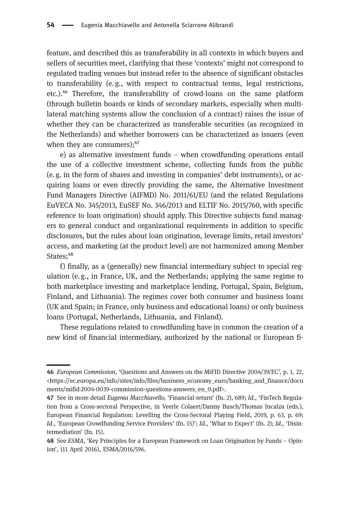feature, and described this as transferability in all contexts in which buyers and sellers of securities meet, clarifying that these 'contexts' might not correspond to regulated trading venues but instead refer to the absence of significant obstacles to transferability (e.g., with respect to contractual terms, legal restrictions, etc.).<sup>46</sup> Therefore, the transferability of crowd-loans on the same platform (through bulletin boards or kinds of secondary markets, especially when multilateral matching systems allow the conclusion of a contract) raises the issue of whether they can be characterized as transferable securities (as recognized in the Netherlands) and whether borrowers can be characterized as issuers (even when they are consumers); $47$ 

e) as alternative investment funds – when crowdfunding operations entail the use of a collective investment scheme, collecting funds from the public (e. g. in the form of shares and investing in companies' debt instruments), or acquiring loans or even directly providing the same, the Alternative Investment Fund Managers Directive (AIFMD) No. 2011/61/EU (and the related Regulations EuVECA No. 345/2013, EuSEF No. 346/2013 and ELTIF No. 2015/760, with specific reference to loan origination) should apply. This Directive subjects fund managers to general conduct and organizational requirements in addition to specific disclosures, but the rules about loan origination, leverage limits, retail investors' access, and marketing (at the product level) are not harmonized among Member States:<sup>48</sup>

f) finally, as a (generally) new financial intermediary subject to special regulation (e. g., in France, UK, and the Netherlands; applying the same regime to both marketplace investing and marketplace lending, Portugal, Spain, Belgium, Finland, and Lithuania). The regimes cover both consumer and business loans (UK and Spain; in France, only business and educational loans) or only business loans (Portugal, Netherlands, Lithuania, and Finland).

These regulations related to crowdfunding have in common the creation of a new kind of financial intermediary, authorized by the national or European fi-

European Commission, 'Questions and Answers on the MiFID Directive 2004/39/EC', p. 1, 22, <[https://ec.europa.eu/info/sites/info/files/business\\_economy\\_euro/banking\\_and\\_finance/docu](https://ec.europa.eu/info/sites/info/files/business_economy_euro/banking_and_finance/documents/mifid-2004-0039-commission-questions-answers_en_0.pdf) [ments/mifid-2004-0039-commission-questions-answers\\_en\\_0.pdf>](https://ec.europa.eu/info/sites/info/files/business_economy_euro/banking_and_finance/documents/mifid-2004-0039-commission-questions-answers_en_0.pdf).

<sup>47</sup> See in more detail Eugenia Macchiavello, 'Financial-return' (fn. 2), 689; Id., 'FinTech Regulation from a Cross-sectoral Perspective, in Veerle Colaert/Danny Busch/Thomas Incalza (eds.), European Financial Regulation: Levelling the Cross-Sectoral Playing Field, 2019, p. 63, p. 69; Id., 'European Crowdfunding Service Providers' (fn. 15)'; Id., 'What to Expect' (fn. 2); Id., 'Disintermediation' (fn. 15).

<sup>48</sup> See ESMA, 'Key Principles for a European Framework on Loan Origination by Funds – Opinion', (11 April 2016), ESMA/2016/596.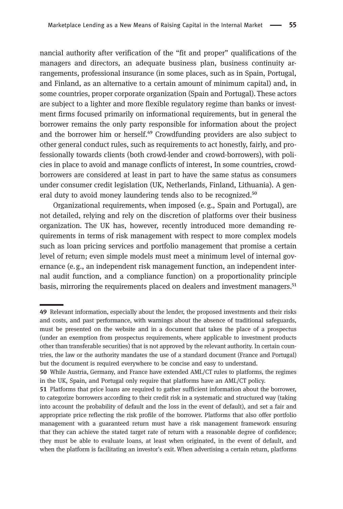nancial authority after verification of the "fit and proper" qualifications of the managers and directors, an adequate business plan, business continuity arrangements, professional insurance (in some places, such as in Spain, Portugal, and Finland, as an alternative to a certain amount of minimum capital) and, in some countries, proper corporate organization (Spain and Portugal). These actors are subject to a lighter and more flexible regulatory regime than banks or investment firms focused primarily on informational requirements, but in general the borrower remains the only party responsible for information about the project and the borrower him or herself. $49$  Crowdfunding providers are also subject to other general conduct rules, such as requirements to act honestly, fairly, and professionally towards clients (both crowd-lender and crowd-borrowers), with policies in place to avoid and manage conflicts of interest, In some countries, crowdborrowers are considered at least in part to have the same status as consumers under consumer credit legislation (UK, Netherlands, Finland, Lithuania). A general duty to avoid money laundering tends also to be recognized.<sup>50</sup>

Organizational requirements, when imposed (e. g., Spain and Portugal), are not detailed, relying and rely on the discretion of platforms over their business organization. The UK has, however, recently introduced more demanding requirements in terms of risk management with respect to more complex models such as loan pricing services and portfolio management that promise a certain level of return; even simple models must meet a minimum level of internal governance (e. g., an independent risk management function, an independent internal audit function, and a compliance function) on a proportionality principle basis, mirroring the requirements placed on dealers and investment managers.<sup>51</sup>

<sup>49</sup> Relevant information, especially about the lender, the proposed investments and their risks and costs, and past performance, with warnings about the absence of traditional safeguards, must be presented on the website and in a document that takes the place of a prospectus (under an exemption from prospectus requirements, where applicable to investment products other than transferable securities) that is not approved by the relevant authority. In certain countries, the law or the authority mandates the use of a standard document (France and Portugal) but the document is required everywhere to be concise and easy to understand.

While Austria, Germany, and France have extended AML/CT rules to platforms, the regimes in the UK, Spain, and Portugal only require that platforms have an AML/CT policy.

<sup>51</sup> Platforms that price loans are required to gather sufficient information about the borrower, to categorize borrowers according to their credit risk in a systematic and structured way (taking into account the probability of default and the loss in the event of default), and set a fair and appropriate price reflecting the risk profile of the borrower. Platforms that also offer portfolio management with a guaranteed return must have a risk management framework ensuring that they can achieve the stated target rate of return with a reasonable degree of confidence; they must be able to evaluate loans, at least when originated, in the event of default, and when the platform is facilitating an investor's exit. When advertising a certain return, platforms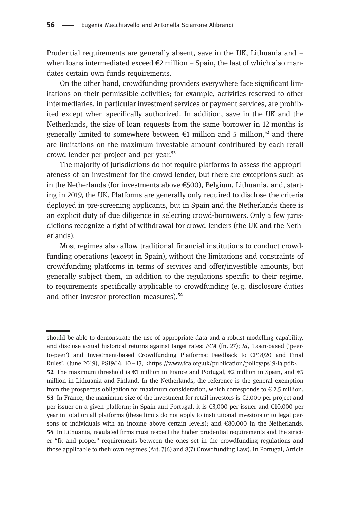Prudential requirements are generally absent, save in the UK, Lithuania and – when loans intermediated exceed  $\epsilon$ 2 million – Spain, the last of which also mandates certain own funds requirements.

On the other hand, crowdfunding providers everywhere face significant limitations on their permissible activities; for example, activities reserved to other intermediaries, in particular investment services or payment services, are prohibited except when specifically authorized. In addition, save in the UK and the Netherlands, the size of loan requests from the same borrower in 12 months is generally limited to somewhere between  $\epsilon$ 1 million and 5 million,<sup>52</sup> and there are limitations on the maximum investable amount contributed by each retail crowd-lender per project and per year.<sup>53</sup>

The majority of jurisdictions do not require platforms to assess the appropriateness of an investment for the crowd-lender, but there are exceptions such as in the Netherlands (for investments above  $\epsilon$ 500), Belgium, Lithuania, and, starting in 2019, the UK. Platforms are generally only required to disclose the criteria deployed in pre-screening applicants, but in Spain and the Netherlands there is an explicit duty of due diligence in selecting crowd-borrowers. Only a few jurisdictions recognize a right of withdrawal for crowd-lenders (the UK and the Netherlands).

Most regimes also allow traditional financial institutions to conduct crowdfunding operations (except in Spain), without the limitations and constraints of crowdfunding platforms in terms of services and offer/investible amounts, but generally subject them, in addition to the regulations specific to their regime, to requirements specifically applicable to crowdfunding (e.g. disclosure duties and other investor protection measures).<sup>54</sup>

should be able to demonstrate the use of appropriate data and a robust modelling capability, and disclose actual historical returns against target rates: FCA (fn. 27); Id, 'Loan-based ('peerto-peer') and Investment-based Crowdfunding Platforms: Feedback to CP18/20 and Final Rules', (June 2019), PS19/14, 10-13, [<https://www.fca.org.uk/publication/policy/ps19-14.pdf](https://www.fca.org.uk/publication/policy/ps19-14.pdf)>. 52 The maximum threshold is €1 million in France and Portugal, €2 million in Spain, and €5 million in Lithuania and Finland. In the Netherlands, the reference is the general exemption from the prospectus obligation for maximum consideration, which corresponds to  $\epsilon$  2.5 million. 53 In France, the maximum size of the investment for retail investors is  $\epsilon$ 2,000 per project and per issuer on a given platform; in Spain and Portugal, it is €3,000 per issuer and €10,000 per year in total on all platforms (these limits do not apply to institutional investors or to legal persons or individuals with an income above certain levels); and €80,000 in the Netherlands. In Lithuania, regulated firms must respect the higher prudential requirements and the stricter "fit and proper" requirements between the ones set in the crowdfunding regulations and those applicable to their own regimes (Art. 7(6) and 8(7) Crowdfunding Law). In Portugal, Article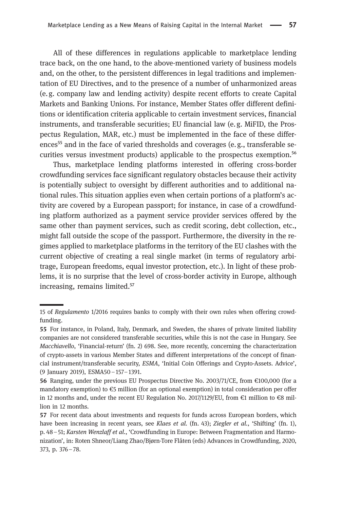All of these differences in regulations applicable to marketplace lending trace back, on the one hand, to the above-mentioned variety of business models and, on the other, to the persistent differences in legal traditions and implementation of EU Directives, and to the presence of a number of unharmonized areas (e. g. company law and lending activity) despite recent efforts to create Capital Markets and Banking Unions. For instance, Member States offer different definitions or identification criteria applicable to certain investment services, financial instruments, and transferable securities; EU financial law (e.g. MiFID, the Prospectus Regulation, MAR, etc.) must be implemented in the face of these differences<sup>55</sup> and in the face of varied thresholds and coverages (e.g., transferable securities versus investment products) applicable to the prospectus exemption.<sup>56</sup>

Thus, marketplace lending platforms interested in offering cross-border crowdfunding services face significant regulatory obstacles because their activity is potentially subject to oversight by different authorities and to additional national rules. This situation applies even when certain portions of a platform's activity are covered by a European passport; for instance, in case of a crowdfunding platform authorized as a payment service provider services offered by the same other than payment services, such as credit scoring, debt collection, etc., might fall outside the scope of the passport. Furthermore, the diversity in the regimes applied to marketplace platforms in the territory of the EU clashes with the current objective of creating a real single market (in terms of regulatory arbitrage, European freedoms, equal investor protection, etc.). In light of these problems, it is no surprise that the level of cross-border activity in Europe, although increasing, remains limited.<sup>57</sup>

<sup>15</sup> of Regulamento 1/2016 requires banks to comply with their own rules when offering crowdfunding.

For instance, in Poland, Italy, Denmark, and Sweden, the shares of private limited liability companies are not considered transferable securities, while this is not the case in Hungary. See Macchiavello, 'Financial-return' (fn. 2) 698. See, more recently, concerning the characterization of crypto-assets in various Member States and different interpretations of the concept of financial instrument/transferable security, ESMA, 'Initial Coin Offerings and Crypto-Assets. Advice', (9 January 2019), ESMA50–157–1391.

<sup>56</sup> Ranging, under the previous EU Prospectus Directive No. 2003/71/CE, from  $\epsilon$ 100,000 (for a mandatory exemption) to  $\epsilon$ 5 million (for an optional exemption) in total consideration per offer in 12 months and, under the recent EU Regulation No. 2017/1129/EU, from €1 million to €8 million in 12 months.

<sup>57</sup> For recent data about investments and requests for funds across European borders, which have been increasing in recent years, see Klaes et al. (fn. 43); Ziegler et al., 'Shifting' (fn. 1), p. 48–51; Karsten Wenzlaff et al., 'Crowdfunding in Europe: Between Fragmentation and Harmonization', in: Roten Shneor/Liang Zhao/Bjørn-Tore Flåten (eds) Advances in Crowdfunding, 2020, 373, p. 376–78.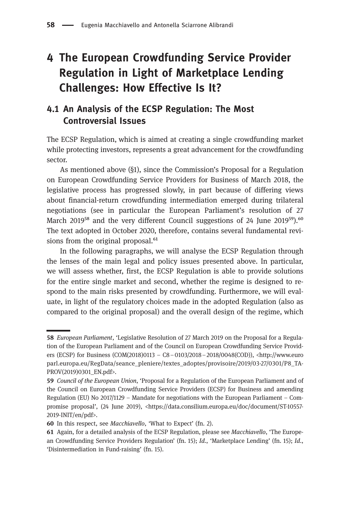# 4 The European Crowdfunding Service Provider Regulation in Light of Marketplace Lending Challenges: How Effective Is It?

### 4.1 An Analysis of the ECSP Regulation: The Most Controversial Issues

The ECSP Regulation, which is aimed at creating a single crowdfunding market while protecting investors, represents a great advancement for the crowdfunding sector.

As mentioned above (§1), since the Commission's Proposal for a Regulation on European Crowdfunding Service Providers for Business of March 2018, the legislative process has progressed slowly, in part because of differing views about financial-return crowdfunding intermediation emerged during trilateral negotiations (see in particular the European Parliament's resolution of 27 March 2019<sup>58</sup> and the very different Council suggestions of 24 June 2019<sup>59</sup>).<sup>60</sup> The text adopted in October 2020, therefore, contains several fundamental revisions from the original proposal.<sup>61</sup>

In the following paragraphs, we will analyse the ECSP Regulation through the lenses of the main legal and policy issues presented above. In particular, we will assess whether, first, the ECSP Regulation is able to provide solutions for the entire single market and second, whether the regime is designed to respond to the main risks presented by crowdfunding. Furthermore, we will evaluate, in light of the regulatory choices made in the adopted Regulation (also as compared to the original proposal) and the overall design of the regime, which

<sup>58</sup> European Parliament, 'Legislative Resolution of 27 March 2019 on the Proposal for a Regulation of the European Parliament and of the Council on European Crowdfunding Service Providers (ECSP) for Business (COM(2018)0113 – C8–0103/2018–2018/0048(COD)), [<http://www.euro](http://www.europarl.europa.eu/RegData/seance_pleniere/textes_adoptes/provisoire/2019/03-27/0301/P8_TA-PROV(2019)0301_EN.pdf) [parl.europa.eu/RegData/seance\\_pleniere/textes\\_adoptes/provisoire/2019/03-27/0301/P8\\_TA-](http://www.europarl.europa.eu/RegData/seance_pleniere/textes_adoptes/provisoire/2019/03-27/0301/P8_TA-PROV(2019)0301_EN.pdf)[PROV\(2019\)0301\\_EN.pdf](http://www.europarl.europa.eu/RegData/seance_pleniere/textes_adoptes/provisoire/2019/03-27/0301/P8_TA-PROV(2019)0301_EN.pdf)>.

<sup>59</sup> Council of the European Union, 'Proposal for a Regulation of the European Parliament and of the Council on European Crowdfunding Service Providers (ECSP) for Business and amending Regulation (EU) No 2017/1129 – Mandate for negotiations with the European Parliament – Compromise proposal', (24 June 2019), <[https://data.consilium.europa.eu/doc/document/ST-10557-](https://data.consilium.europa.eu/doc/document/ST-10557-2019-INIT/en/pdf) [2019-INIT/en/pdf](https://data.consilium.europa.eu/doc/document/ST-10557-2019-INIT/en/pdf)>.

<sup>60</sup> In this respect, see *Macchiavello*, 'What to Expect' (fn. 2).

<sup>61</sup> Again, for a detailed analysis of the ECSP Regulation, please see *Macchiavello*, 'The European Crowdfunding Service Providers Regulation' (fn. 15); Id., 'Marketplace Lending' (fn. 15); Id., 'Disintermediation in Fund-raising' (fn. 15).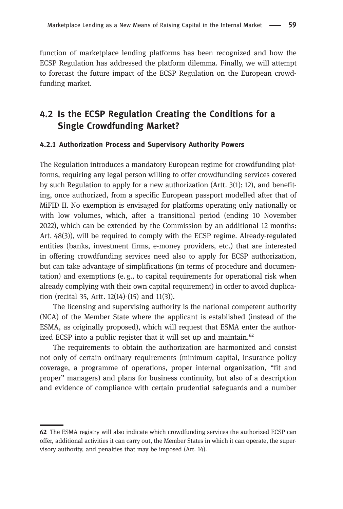function of marketplace lending platforms has been recognized and how the ECSP Regulation has addressed the platform dilemma. Finally, we will attempt to forecast the future impact of the ECSP Regulation on the European crowdfunding market.

### 4.2 Is the ECSP Regulation Creating the Conditions for a Single Crowdfunding Market?

#### 4.2.1 Authorization Process and Supervisory Authority Powers

The Regulation introduces a mandatory European regime for crowdfunding platforms, requiring any legal person willing to offer crowdfunding services covered by such Regulation to apply for a new authorization (Artt. 3(1); 12), and benefiting, once authorized, from a specific European passport modelled after that of MiFID II. No exemption is envisaged for platforms operating only nationally or with low volumes, which, after a transitional period (ending 10 November 2022), which can be extended by the Commission by an additional 12 months: Art. 48(3)), will be required to comply with the ECSP regime. Already-regulated entities (banks, investment firms, e-money providers, etc.) that are interested in offering crowdfunding services need also to apply for ECSP authorization, but can take advantage of simplifications (in terms of procedure and documentation) and exemptions (e. g., to capital requirements for operational risk when already complying with their own capital requirement) in order to avoid duplication (recital 35, Artt. 12(14)-(15) and 11(3)).

The licensing and supervising authority is the national competent authority (NCA) of the Member State where the applicant is established (instead of the ESMA, as originally proposed), which will request that ESMA enter the authorized ECSP into a public register that it will set up and maintain. $^{62}$ 

The requirements to obtain the authorization are harmonized and consist not only of certain ordinary requirements (minimum capital, insurance policy coverage, a programme of operations, proper internal organization, "fit and proper" managers) and plans for business continuity, but also of a description and evidence of compliance with certain prudential safeguards and a number

<sup>62</sup> The ESMA registry will also indicate which crowdfunding services the authorized ECSP can offer, additional activities it can carry out, the Member States in which it can operate, the supervisory authority, and penalties that may be imposed (Art. 14).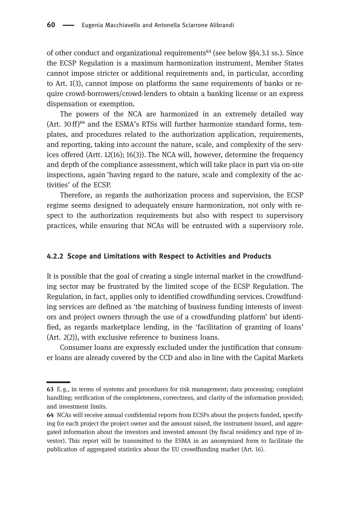of other conduct and organizational requirements<sup> $63$ </sup> (see below §§4.3.1 ss.). Since the ECSP Regulation is a maximum harmonization instrument, Member States cannot impose stricter or additional requirements and, in particular, according to Art. 1(3), cannot impose on platforms the same requirements of banks or require crowd-borrowers/crowd-lenders to obtain a banking license or an express dispensation or exemption.

The powers of the NCA are harmonized in an extremely detailed way  $(Art. 30 ff)^{64}$  and the ESMA's RTSs will further harmonize standard forms, templates, and procedures related to the authorization application, requirements, and reporting, taking into account the nature, scale, and complexity of the services offered (Artt. 12(16); 16(3)). The NCA will, however, determine the frequency and depth of the compliance assessment, which will take place in part via on-site inspections, again 'having regard to the nature, scale and complexity of the activities' of the ECSP.

Therefore, as regards the authorization process and supervision, the ECSP regime seems designed to adequately ensure harmonization, not only with respect to the authorization requirements but also with respect to supervisory practices, while ensuring that NCAs will be entrusted with a supervisory role.

### 4.2.2 Scope and Limitations with Respect to Activities and Products

It is possible that the goal of creating a single internal market in the crowdfunding sector may be frustrated by the limited scope of the ECSP Regulation. The Regulation, in fact, applies only to identified crowdfunding services. Crowdfunding services are defined as 'the matching of business funding interests of investors and project owners through the use of a crowdfunding platform' but identified, as regards marketplace lending, in the 'facilitation of granting of loans' (Art. 2(2)), with exclusive reference to business loans.

Consumer loans are expressly excluded under the justification that consumer loans are already covered by the CCD and also in line with the Capital Markets

E. g., in terms of systems and procedures for risk management; data processing; complaint handling; verification of the completeness, correctness, and clarity of the information provided; and investment limits.

NCAs will receive annual confidential reports from ECSPs about the projects funded, specifying for each project the project owner and the amount raised, the instrument issued, and aggregated information about the investors and invested amount (by fiscal residency and type of investor). This report will be transmitted to the ESMA in an anonymized form to facilitate the publication of aggregated statistics about the EU crowdfunding market (Art. 16).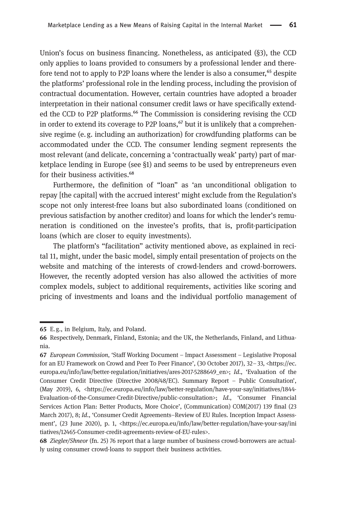Union's focus on business financing. Nonetheless, as anticipated (§3), the CCD only applies to loans provided to consumers by a professional lender and therefore tend not to apply to P2P loans where the lender is also a consumer,  $65$  despite the platforms' professional role in the lending process, including the provision of contractual documentation. However, certain countries have adopted a broader interpretation in their national consumer credit laws or have specifically extended the CCD to P2P platforms.<sup>66</sup> The Commission is considering revising the CCD in order to extend its coverage to P2P loans, $67$  but it is unlikely that a comprehensive regime (e. g. including an authorization) for crowdfunding platforms can be accommodated under the CCD. The consumer lending segment represents the most relevant (and delicate, concerning a 'contractually weak' party) part of marketplace lending in Europe (see §1) and seems to be used by entrepreneurs even for their business activities.<sup>68</sup>

Furthermore, the definition of "loan" as 'an unconditional obligation to repay [the capital] with the accrued interest' might exclude from the Regulation's scope not only interest-free loans but also subordinated loans (conditioned on previous satisfaction by another creditor) and loans for which the lender's remuneration is conditioned on the investee's profits, that is, profit-participation loans (which are closer to equity investments).

The platform's "facilitation" activity mentioned above, as explained in recital 11, might, under the basic model, simply entail presentation of projects on the website and matching of the interests of crowd-lenders and crowd-borrowers. However, the recently adopted version has also allowed the activities of more complex models, subject to additional requirements, activities like scoring and pricing of investments and loans and the individual portfolio management of

E. g., in Belgium, Italy, and Poland.

<sup>66</sup> Respectively, Denmark, Finland, Estonia; and the UK, the Netherlands, Finland, and Lithuania.

European Commission, 'Staff Working Document – Impact Assessment – Legislative Proposal for an EU Framework on Crowd and Peer To Peer Finance', (30 October 2017), 32–33, <[https://ec.](https://ec.europa.eu/info/law/better-regulation/initiatives/ares-2017-5288649_en) [europa.eu/info/law/better-regulation/initiatives/ares-2017-5288649\\_en](https://ec.europa.eu/info/law/better-regulation/initiatives/ares-2017-5288649_en)>; Id., 'Evaluation of the Consumer Credit Directive (Directive 2008/48/EC). Summary Report – Public Consultation', (May 2019), 6, <[https://ec.europa.eu/info/law/better-regulation/have-your-say/initiatives/1844-](https://ec.europa.eu/info/law/better-regulation/have-your-say/initiatives/1844-Evaluation-of-the-Consumer-Credit-Directive/public-consultation) [Evaluation-of-the-Consumer-Credit-Directive/public-consultation](https://ec.europa.eu/info/law/better-regulation/have-your-say/initiatives/1844-Evaluation-of-the-Consumer-Credit-Directive/public-consultation)>; Id., 'Consumer Financial Services Action Plan: Better Products, More Choice', (Communication) COM(2017) 139 final (23 March 2017), 8; Id., 'Consumer Credit Agreements–Review of EU Rules. Inception Impact Assessment', (23 June 2020), p. 1, <[https://ec.europa.eu/info/law/better-regulation/have-your-say/ini](https://ec.europa.eu/info/law/better-regulation/have-your-say/initiatives/12465-Consumer-credit-agreements-review-of-EU-rules) [tiatives/12465-Consumer-credit-agreements-review-of-EU-rules>](https://ec.europa.eu/info/law/better-regulation/have-your-say/initiatives/12465-Consumer-credit-agreements-review-of-EU-rules).

<sup>68</sup> Ziegler/Shneor (fn. 25) 76 report that a large number of business crowd-borrowers are actually using consumer crowd-loans to support their business activities.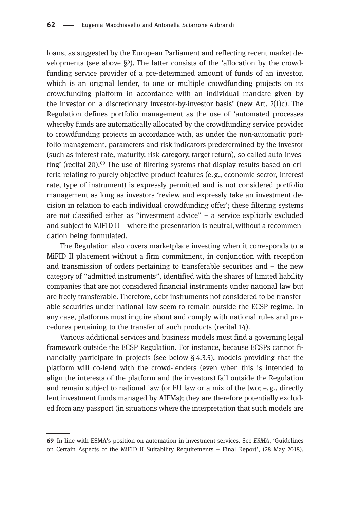loans, as suggested by the European Parliament and reflecting recent market developments (see above §2). The latter consists of the 'allocation by the crowdfunding service provider of a pre-determined amount of funds of an investor, which is an original lender, to one or multiple crowdfunding projects on its crowdfunding platform in accordance with an individual mandate given by the investor on a discretionary investor-by-investor basis' (new Art. 2(1)c). The Regulation defines portfolio management as the use of 'automated processes whereby funds are automatically allocated by the crowdfunding service provider to crowdfunding projects in accordance with, as under the non-automatic portfolio management, parameters and risk indicators predetermined by the investor (such as interest rate, maturity, risk category, target return), so called auto-investing' (recital 20).<sup>69</sup> The use of filtering systems that display results based on criteria relating to purely objective product features (e. g., economic sector, interest rate, type of instrument) is expressly permitted and is not considered portfolio management as long as investors 'review and expressly take an investment decision in relation to each individual crowdfunding offer'; these filtering systems are not classified either as "investment advice" – a service explicitly excluded and subject to MIFID II – where the presentation is neutral, without a recommendation being formulated.

The Regulation also covers marketplace investing when it corresponds to a MiFID II placement without a firm commitment, in conjunction with reception and transmission of orders pertaining to transferable securities and  $-$  the new category of "admitted instruments", identified with the shares of limited liability companies that are not considered financial instruments under national law but are freely transferable. Therefore, debt instruments not considered to be transferable securities under national law seem to remain outside the ECSP regime. In any case, platforms must inquire about and comply with national rules and procedures pertaining to the transfer of such products (recital 14).

Various additional services and business models must find a governing legal framework outside the ECSP Regulation. For instance, because ECSPs cannot financially participate in projects (see below § 4.3.5), models providing that the platform will co-lend with the crowd-lenders (even when this is intended to align the interests of the platform and the investors) fall outside the Regulation and remain subject to national law (or EU law or a mix of the two; e. g., directly lent investment funds managed by AIFMs); they are therefore potentially excluded from any passport (in situations where the interpretation that such models are

In line with ESMA's position on automation in investment services. See ESMA, 'Guidelines on Certain Aspects of the MiFID II Suitability Requirements – Final Report', (28 May 2018).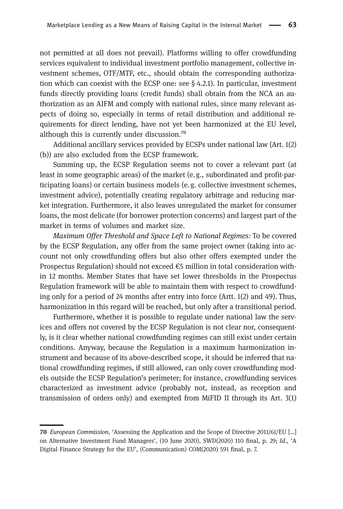not permitted at all does not prevail). Platforms willing to offer crowdfunding services equivalent to individual investment portfolio management, collective investment schemes, OTF/MTF, etc., should obtain the corresponding authorization which can coexist with the ECSP one: see § 4.2.1). In particular, investment funds directly providing loans (credit funds) shall obtain from the NCA an authorization as an AIFM and comply with national rules, since many relevant aspects of doing so, especially in terms of retail distribution and additional requirements for direct lending, have not yet been harmonized at the EU level, although this is currently under discussion.<sup>70</sup>

Additional ancillary services provided by ECSPs under national law (Art. 1(2) (b)) are also excluded from the ECSP framework.

Summing up, the ECSP Regulation seems not to cover a relevant part (at least in some geographic areas) of the market (e. g., subordinated and profit-participating loans) or certain business models (e. g. collective investment schemes, investment advice), potentially creating regulatory arbitrage and reducing market integration. Furthermore, it also leaves unregulated the market for consumer loans, the most delicate (for borrower protection concerns) and largest part of the market in terms of volumes and market size.

Maximum Offer Threshold and Space Left to National Regimes: To be covered by the ECSP Regulation, any offer from the same project owner (taking into account not only crowdfunding offers but also other offers exempted under the Prospectus Regulation) should not exceed €5 million in total consideration within 12 months. Member States that have set lower thresholds in the Prospectus Regulation framework will be able to maintain them with respect to crowdfunding only for a period of 24 months after entry into force (Artt. 1(2) and 49). Thus, harmonization in this regard will be reached, but only after a transitional period.

Furthermore, whether it is possible to regulate under national law the services and offers not covered by the ECSP Regulation is not clear nor, consequently, is it clear whether national crowdfunding regimes can still exist under certain conditions. Anyway, because the Regulation is a maximum harmonization instrument and because of its above-described scope, it should be inferred that national crowdfunding regimes, if still allowed, can only cover crowdfunding models outside the ECSP Regulation's perimeter; for instance, crowdfunding services characterized as investment advice (probably not, instead, as reception and transmission of orders only) and exempted from MiFID II through its Art. 3(1)

European Commission, 'Assessing the Application and the Scope of Directive 2011/61/EU […] on Alternative Investment Fund Managers', (10 June 2020), SWD(2020) 110 final, p. 29; Id., 'A Digital Finance Strategy for the EU', (Communication) COM(2020) 591 final, p. 7.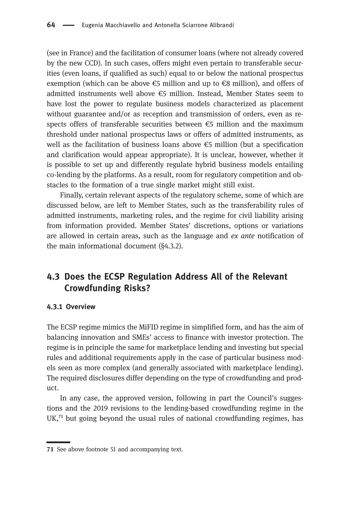(see in France) and the facilitation of consumer loans (where not already covered by the new CCD). In such cases, offers might even pertain to transferable securities (even loans, if qualified as such) equal to or below the national prospectus exemption (which can be above  $\epsilon$ 5 million and up to  $\epsilon$ 8 million), and offers of admitted instruments well above €5 million. Instead, Member States seem to have lost the power to regulate business models characterized as placement without guarantee and/or as reception and transmission of orders, even as respects offers of transferable securities between  $\epsilon$ 5 million and the maximum threshold under national prospectus laws or offers of admitted instruments, as well as the facilitation of business loans above  $\epsilon$ 5 million (but a specification and clarification would appear appropriate). It is unclear, however, whether it is possible to set up and differently regulate hybrid business models entailing co-lending by the platforms. As a result, room for regulatory competition and obstacles to the formation of a true single market might still exist.

Finally, certain relevant aspects of the regulatory scheme, some of which are discussed below, are left to Member States, such as the transferability rules of admitted instruments, marketing rules, and the regime for civil liability arising from information provided. Member States' discretions, options or variations are allowed in certain areas, such as the language and ex ante notification of the main informational document (§4.3.2).

### 4.3 Does the ECSP Regulation Address All of the Relevant Crowdfunding Risks?

### 4.3.1 Overview

The ECSP regime mimics the MiFID regime in simplified form, and has the aim of balancing innovation and SMEs' access to finance with investor protection. The regime is in principle the same for marketplace lending and investing but special rules and additional requirements apply in the case of particular business models seen as more complex (and generally associated with marketplace lending). The required disclosures differ depending on the type of crowdfunding and product.

In any case, the approved version, following in part the Council's suggestions and the 2019 revisions to the lending-based crowdfunding regime in the  $UK<sub>1</sub><sup>71</sup>$  but going beyond the usual rules of national crowdfunding regimes, has

<sup>71</sup> See above footnote 51 and accompanying text.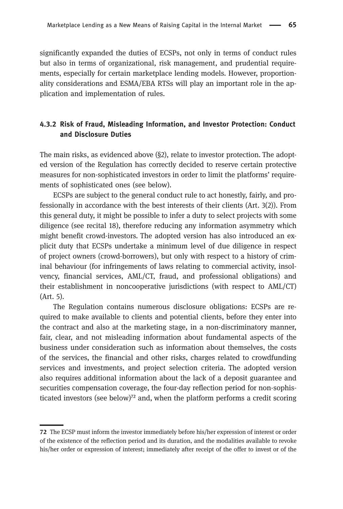significantly expanded the duties of ECSPs, not only in terms of conduct rules but also in terms of organizational, risk management, and prudential requirements, especially for certain marketplace lending models. However, proportionality considerations and ESMA/EBA RTSs will play an important role in the application and implementation of rules.

### 4.3.2 Risk of Fraud, Misleading Information, and Investor Protection: Conduct and Disclosure Duties

The main risks, as evidenced above  $(\S2)$ , relate to investor protection. The adopted version of the Regulation has correctly decided to reserve certain protective measures for non-sophisticated investors in order to limit the platforms' requirements of sophisticated ones (see below).

ECSPs are subject to the general conduct rule to act honestly, fairly, and professionally in accordance with the best interests of their clients (Art. 3(2)). From this general duty, it might be possible to infer a duty to select projects with some diligence (see recital 18), therefore reducing any information asymmetry which might benefit crowd-investors. The adopted version has also introduced an explicit duty that ECSPs undertakeaminimum level of due diligence in respect of project owners (crowd-borrowers), but only with respect to a history of criminal behaviour (for infringements of laws relating to commercial activity, insolvency, financial services, AML/CT, fraud, and professional obligations) and their establishment in noncooperative jurisdictions (with respect to AML/CT) (Art. 5).

The Regulation contains numerous disclosure obligations: ECSPs are required to make available to clients and potential clients, before they enter into the contract and also at the marketing stage, in a non-discriminatory manner, fair, clear, and not misleading information about fundamental aspects of the business under consideration such as information about themselves, the costs of the services, the financial and other risks, charges related to crowdfunding services and investments, and project selection criteria. The adopted version also requires additional information about the lack of a deposit guarantee and securities compensation coverage, the four-day reflection period for non-sophisticated investors (see below) $<sup>72</sup>$  and, when the platform performs a credit scoring</sup>

<sup>72</sup> The ECSP must inform the investor immediately before his/her expression of interest or order of the existence of the reflection period and its duration, and the modalities available to revoke his/her order or expression of interest; immediately after receipt of the offer to invest or of the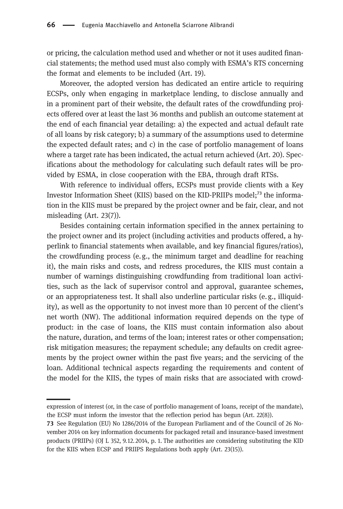or pricing, the calculation method used and whether or not it uses audited financial statements; the method used must also comply with ESMA's RTS concerning the format and elements to be included (Art. 19).

Moreover, the adopted version has dedicated an entire article to requiring ECSPs, only when engaging in marketplace lending, to disclose annually and in a prominent part of their website, the default rates of the crowdfunding projects offered over at least the last 36 months and publish an outcome statement at the end of each financial year detailing: a) the expected and actual default rate of all loans by risk category; b) a summary of the assumptions used to determine the expected default rates; and c) in the case of portfolio management of loans where a target rate has been indicated, the actual return achieved (Art. 20). Specifications about the methodology for calculating such default rates will be provided by ESMA, in close cooperation with the EBA, through draft RTSs.

With reference to individual offers, ECSPs must provide clients with a Key Investor Information Sheet (KIIS) based on the KID-PRIIPs model; $^{73}$  the information in the KIIS must be prepared by the project owner and be fair, clear, and not misleading (Art. 23(7)).

Besides containing certain information specified in the annex pertaining to the project owner and its project (including activities and products offered, a hyperlink to financial statements when available, and key financial figures/ratios), the crowdfunding process (e. g., the minimum target and deadline for reaching it), the main risks and costs, and redress procedures, the KIIS must contain a number of warnings distinguishing crowdfunding from traditional loan activities, such as the lack of supervisor control and approval, guarantee schemes, or an appropriateness test. It shall also underline particular risks (e. g., illiquidity), as well as the opportunity to not invest more than 10 percent of the client's net worth (NW). The additional information required depends on the type of product: in the case of loans, the KIIS must contain information also about the nature, duration, and terms of the loan; interest rates or other compensation; risk mitigation measures; the repayment schedule; any defaults on credit agreements by the project owner within the past five years; and the servicing of the loan. Additional technical aspects regarding the requirements and content of the model for the KIIS, the types of main risks that are associated with crowd-

expression of interest (or, in the case of portfolio management of loans, receipt of the mandate), the ECSP must inform the investor that the reflection period has begun (Art. 22(8)).

<sup>73</sup> See Regulation (EU) No 1286/2014 of the European Parliament and of the Council of 26 November 2014 on key information documents for packaged retail and insurance-based investment products (PRIIPs) (OJ L 352, 9.12. 2014, p. 1. The authorities are considering substituting the KID for the KIIS when ECSP and PRIIPS Regulations both apply (Art. 23(15)).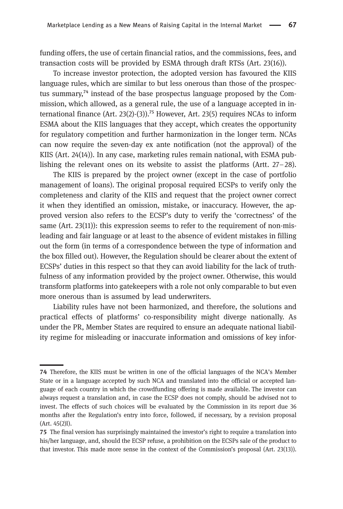funding offers, the use of certain financial ratios, and the commissions, fees, and transaction costs will be provided by ESMA through draft RTSs (Art. 23(16)).

To increase investor protection, the adopted version has favoured the KIIS language rules, which are similar to but less onerous than those of the prospectus summary, $74$  instead of the base prospectus language proposed by the Commission, which allowed, as a general rule, the use of a language accepted in international finance (Art. 23(2)-(3)).<sup>75</sup> However, Art. 23(5) requires NCAs to inform ESMA about the KIIS languages that they accept, which creates the opportunity for regulatory competition and further harmonization in the longer term. NCAs can now require the seven-day ex ante notification (not the approval) of the KIIS (Art. 24(14)). In any case, marketing rules remain national, with ESMA publishing the relevant ones on its website to assist the platforms (Artt. 27–28).

The KIIS is prepared by the project owner (except in the case of portfolio management of loans). The original proposal required ECSPs to verify only the completeness and clarity of the KIIS and request that the project owner correct it when they identified an omission, mistake, or inaccuracy. However, the approved version also refers to the ECSP's duty to verify the 'correctness' of the same (Art. 23(11)): this expression seems to refer to the requirement of non-misleading and fair language or at least to the absence of evident mistakes in filling out the form (in terms of a correspondence between the type of information and the box filled out). However, the Regulation should be clearer about the extent of ECSPs' duties in this respect so that they can avoid liability for the lack of truthfulness of any information provided by the project owner. Otherwise, this would transform platforms into gatekeepers with a role not only comparable to but even more onerous than is assumed by lead underwriters.

Liability rules have not been harmonized, and therefore, the solutions and practical effects of platforms' co-responsibility might diverge nationally. As under the PR, Member States are required to ensure an adequate national liability regime for misleading or inaccurate information and omissions of key infor-

Therefore, the KIIS must be written in one of the official languages of the NCA's Member State or in a language accepted by such NCA and translated into the official or accepted language of each country in which the crowdfunding offering is made available. The investor can always request a translation and, in case the ECSP does not comply, should be advised not to invest. The effects of such choices will be evaluated by the Commission in its report due 36 months after the Regulation's entry into force, followed, if necessary, by a revision proposal (Art. 45(2)l).

The final version has surprisingly maintained the investor's right to require a translation into his/her language, and, should the ECSP refuse, a prohibition on the ECSPs sale of the product to that investor. This made more sense in the context of the Commission's proposal (Art. 23(13)).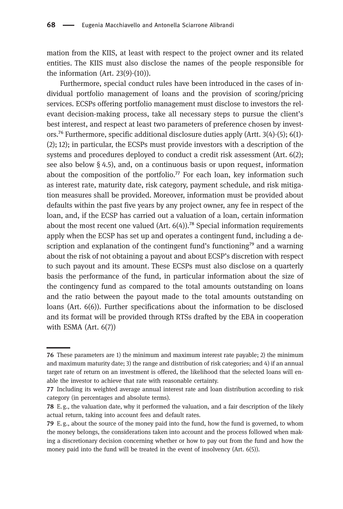mation from the KIIS, at least with respect to the project owner and its related entities. The KIIS must also disclose the names of the people responsible for the information (Art.  $23(9)-(10)$ ).

Furthermore, special conduct rules have been introduced in the cases of individual portfolio management of loans and the provision of scoring/pricing services. ECSPs offering portfolio management must disclose to investors the relevant decision-making process, take all necessary steps to pursue the client's best interest, and respect at least two parameters of preference chosen by investors.<sup>76</sup> Furthermore, specific additional disclosure duties apply (Artt.  $3(4)-(5)$ ; 6(1)-(2); 12); in particular, the ECSPs must provide investors with a description of the systems and procedures deployed to conduct a credit risk assessment (Art. 6(2); see also below  $\S$  4.5), and, on a continuous basis or upon request, information about the composition of the portfolio.<sup> $77$ </sup> For each loan, key information such as interest rate, maturity date, risk category, payment schedule, and risk mitigation measures shall be provided. Moreover, information must be provided about defaults within the past five years by any project owner, any fee in respect of the loan, and, if the ECSP has carried out a valuation of a loan, certain information about the most recent one valued (Art.  $6(4)$ ).<sup>78</sup> Special information requirements apply when the ECSP has set up and operates a contingent fund, including a description and explanation of the contingent fund's functioning<sup>79</sup> and a warning about the risk of not obtaining a payout and about ECSP's discretion with respect to such payout and its amount. These ECSPs must also disclose on a quarterly basis the performance of the fund, in particular information about the size of the contingency fund as compared to the total amounts outstanding on loans and the ratio between the payout made to the total amounts outstanding on loans (Art. 6(6)). Further specifications about the information to be disclosed and its format will be provided through RTSs drafted by the EBA in cooperation with ESMA (Art. 6(7))

These parameters are 1) the minimum and maximum interest rate payable; 2) the minimum and maximum maturity date; 3) the range and distribution of risk categories; and 4) if an annual target rate of return on an investment is offered, the likelihood that the selected loans will enable the investor to achieve that rate with reasonable certainty.

Including its weighted average annual interest rate and loan distribution according to risk category (in percentages and absolute terms).

E. g., the valuation date, why it performed the valuation, and a fair description of the likely actual return, taking into account fees and default rates.

E. g., about the source of the money paid into the fund, how the fund is governed, to whom the money belongs, the considerations taken into account and the process followed when making a discretionary decision concerning whether or how to pay out from the fund and how the money paid into the fund will be treated in the event of insolvency (Art. 6(5)).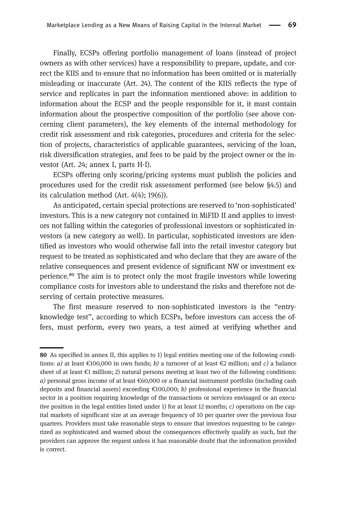Finally, ECSPs offering portfolio management of loans (instead of project owners as with other services) have a responsibility to prepare, update, and correct the KIIS and to ensure that no information has been omitted or is materially misleading or inaccurate (Art. 24). The content of the KIIS reflects the type of service and replicates in part the information mentioned above: in addition to information about the ECSP and the people responsible for it, it must contain information about the prospective composition of the portfolio (see above concerning client parameters), the key elements of the internal methodology for credit risk assessment and risk categories, procedures and criteria for the selection of projects, characteristics of applicable guarantees, servicing of the loan, risk diversification strategies, and fees to be paid by the project owner or the investor (Art. 24; annex I, parts H-I).

ECSPs offering only scoring/pricing systems must publish the policies and procedures used for the credit risk assessment performed (see below §4.5) and its calculation method (Art. 4(4); 19(6)).

As anticipated, certain special protections are reserved to 'non-sophisticated' investors. This is a new category not contained in MiFID II and applies to investors not falling within the categories of professional investors or sophisticated investors (a new category as well). In particular, sophisticated investors are identified as investors who would otherwise fall into the retail investor category but request to be treated as sophisticated and who declare that they are aware of the relative consequences and present evidence of significant NW or investment experience.<sup>80</sup> The aim is to protect only the most fragile investors while lowering compliance costs for investors able to understand the risks and therefore not deserving of certain protective measures.

The first measure reserved to non-sophisticated investors is the "entryknowledge test", according to which ECSPs, before investors can access the offers, must perform, every two years, a test aimed at verifying whether and

As specified in annex II, this applies to 1) legal entities meeting one of the following conditions: *a*) at least  $\epsilon$ 100,000 in own funds; *b*) a turnover of at least  $\epsilon$ 2 million; and *c*) a balance sheet of at least €1 million; 2) natural persons meeting at least two of the following conditions: a) personal gross income of at least  $€60,000$  or a financial instrument portfolio (including cash deposits and financial assets) exceeding  $\epsilon$ 100,000; *b*) professional experience in the financial sector in a position requiring knowledge of the transactions or services envisaged or an executive position in the legal entities listed under 1) for at least 12 months;  $c$  operations on the capital markets of significant size at an average frequency of 10 per quarter over the previous four quarters. Providers must take reasonable steps to ensure that investors requesting to be categorized as sophisticated and warned about the consequences effectively qualify as such, but the providers can approve the request unless it has reasonable doubt that the information provided is correct.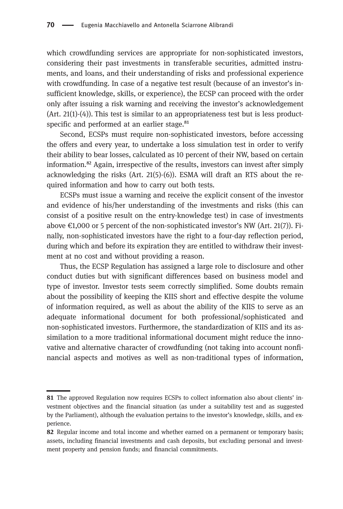which crowdfunding services are appropriate for non-sophisticated investors, considering their past investments in transferable securities, admitted instruments, and loans, and their understanding of risks and professional experience with crowdfunding. In case of a negative test result (because of an investor's insufficient knowledge, skills, or experience), the ECSP can proceed with the order only after issuing a risk warning and receiving the investor's acknowledgement (Art. 21(1)-(4)). This test is similar to an appropriateness test but is less productspecific and performed at an earlier stage.<sup>81</sup>

Second, ECSPs must require non-sophisticated investors, before accessing the offers and every year, to undertake a loss simulation test in order to verify their ability to bear losses, calculated as 10 percent of their NW, based on certain information.<sup>82</sup> Again, irrespective of the results, investors can invest after simply acknowledging the risks (Art. 21(5)-(6)). ESMA will draft an RTS about the required information and how to carry out both tests.

ECSPs must issue a warning and receive the explicit consent of the investor and evidence of his/her understanding of the investments and risks (this can consist of a positive result on the entry-knowledge test) in case of investments above €1,000 or 5 percent of the non-sophisticated investor's NW (Art. 21(7)). Finally, non-sophisticated investors have the right to a four-day reflection period, during which and before its expiration they are entitled to withdraw their investment at no cost and without providing a reason.

Thus, the ECSP Regulation has assigned a large role to disclosure and other conduct duties but with significant differences based on business model and type of investor. Investor tests seem correctly simplified. Some doubts remain about the possibility of keeping the KIIS short and effective despite the volume of information required, as well as about the ability of the KIIS to serve as an adequate informational document for both professional/sophisticated and non-sophisticated investors. Furthermore, the standardization of KIIS and its assimilation to a more traditional informational document might reduce the innovative and alternative character of crowdfunding (not taking into account nonfinancial aspects and motives as well as non-traditional types of information,

The approved Regulation now requires ECSPs to collect information also about clients' investment objectives and the financial situation (as under a suitability test and as suggested by the Parliament), although the evaluation pertains to the investor's knowledge, skills, and experience.

<sup>82</sup> Regular income and total income and whether earned on a permanent or temporary basis; assets, including financial investments and cash deposits, but excluding personal and investment property and pension funds; and financial commitments.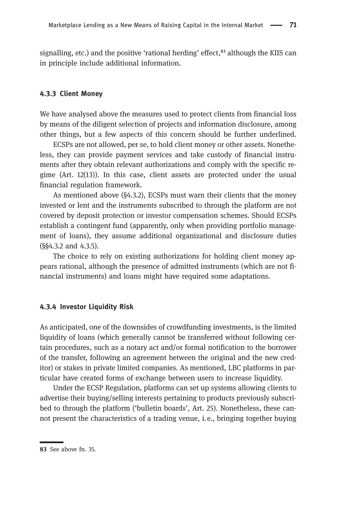signalling, etc.) and the positive 'rational herding' effect, $^{83}$  although the KIIS can in principle include additional information.

#### 4.3.3 Client Money

We have analysed above the measures used to protect clients from financial loss by means of the diligent selection of projects and information disclosure, among other things, but a few aspects of this concern should be further underlined.

ECSPs are not allowed, per se, to hold client money or other assets. Nonetheless, they can provide payment services and take custody of financial instruments after they obtain relevant authorizations and comply with the specific regime (Art. 12(13)). In this case, client assets are protected under the usual financial regulation framework.

As mentioned above (§4.3.2), ECSPs must warn their clients that the money invested or lent and the instruments subscribed to through the platform are not covered by deposit protection or investor compensation schemes. Should ECSPs establish a contingent fund (apparently, only when providing portfolio management of loans), they assume additional organizational and disclosure duties (§§4.3.2 and 4.3.5).

The choice to rely on existing authorizations for holding client money appears rational, although the presence of admitted instruments (which are not financial instruments) and loans might have required some adaptations.

#### 4.3.4 Investor Liquidity Risk

As anticipated, one of the downsides of crowdfunding investments, is the limited liquidity of loans (which generally cannot be transferred without following certain procedures, such as a notary act and/or formal notification to the borrower of the transfer, following an agreement between the original and the new creditor) or stakes in private limited companies. As mentioned, LBC platforms in particular have created forms of exchange between users to increase liquidity.

Under the ECSP Regulation, platforms can set up systems allowing clients to advertise their buying/selling interests pertaining to products previously subscribed to through the platform ('bulletin boards', Art. 25). Nonetheless, these cannot present the characteristics of a trading venue, i.e., bringing together buying

<sup>83</sup> See above fn. 35.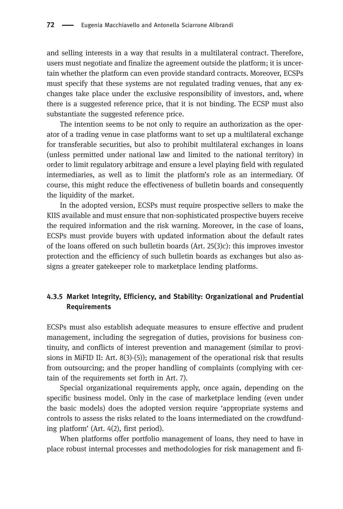and selling interests in a way that results in a multilateral contract. Therefore, users must negotiate and finalize the agreement outside the platform; it is uncertain whether the platform can even provide standard contracts. Moreover, ECSPs must specify that these systems are not regulated trading venues, that any exchanges take place under the exclusive responsibility of investors, and, where there is a suggested reference price, that it is not binding. The ECSP must also substantiate the suggested reference price.

The intention seems to be not only to require an authorization as the operator of a trading venue in case platforms want to set up a multilateral exchange for transferable securities, but also to prohibit multilateral exchanges in loans (unless permitted under national law and limited to the national territory) in order to limit regulatory arbitrage and ensure a level playing field with regulated intermediaries, as well as to limit the platform's role as an intermediary. Of course, this might reduce the effectiveness of bulletin boards and consequently the liquidity of the market.

In the adopted version, ECSPs must require prospective sellers to make the KIIS available and must ensure that non-sophisticated prospective buyers receive the required information and the risk warning. Moreover, in the case of loans, ECSPs must provide buyers with updated information about the default rates of the loans offered on such bulletin boards  $(Art. 25(3)c)$ : this improves investor protection and the efficiency of such bulletin boards as exchanges but also assigns a greater gatekeeper role to marketplace lending platforms.

### 4.3.5 Market Integrity, Efficiency, and Stability: Organizational and Prudential Requirements

ECSPs must also establish adequate measures to ensure effective and prudent management, including the segregation of duties, provisions for business continuity, and conflicts of interest prevention and management (similar to provisions in MiFID II: Art. 8(3)-(5)); management of the operational risk that results from outsourcing; and the proper handling of complaints (complying with certain of the requirements set forth in Art. 7).

Special organizational requirements apply, once again, depending on the specific business model. Only in the case of marketplace lending (even under the basic models) does the adopted version require 'appropriate systems and controls to assess the risks related to the loans intermediated on the crowdfunding platform' (Art. 4(2), first period).

When platforms offer portfolio management of loans, they need to have in place robust internal processes and methodologies for risk management and fi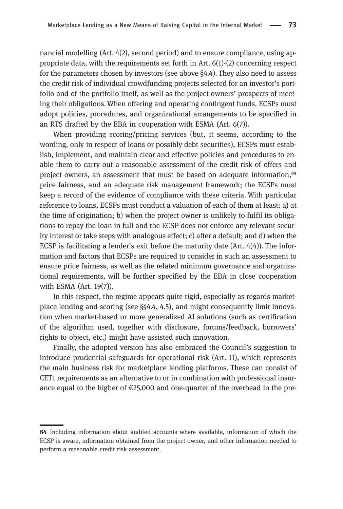nancial modelling (Art. 4(2), second period) and to ensure compliance, using appropriate data, with the requirements set forth in Art. 6(1)-(2) concerning respect for the parameters chosen by investors (see above §4.4). They also need to assess the credit risk of individual crowdfunding projects selected for an investor's portfolio and of the portfolio itself, as well as the project owners' prospects of meeting their obligations.When offering and operating contingent funds, ECSPs must adopt policies, procedures, and organizational arrangements to be specified in an RTS drafted by the EBA in cooperation with ESMA (Art. 6(7)).

When providing scoring/pricing services (but, it seems, according to the wording, only in respect of loans or possibly debt securities), ECSPs must establish, implement, and maintain clear and effective policies and procedures to enable them to carry out a reasonable assessment of the credit risk of offers and project owners, an assessment that must be based on adequate information,<sup>84</sup> price fairness, and an adequate risk management framework; the ECSPs must keep a record of the evidence of compliance with these criteria. With particular reference to loans, ECSPs must conduct a valuation of each of them at least: a) at the time of origination; b) when the project owner is unlikely to fulfil its obligations to repay the loan in full and the ECSP does not enforce any relevant security interest or take steps with analogous effect; c) after a default; and d) when the ECSP is facilitating a lender's exit before the maturity date  $(Art. 4(4))$ . The information and factors that ECSPs are required to consider in such an assessment to ensure price fairness, as well as the related minimum governance and organizational requirements, will be further specified by the EBA in close cooperation with ESMA (Art. 19(7)).

In this respect, the regime appears quite rigid, especially as regards marketplace lending and scoring (see §§4.4, 4.5), and might consequently limit innovation when market-based or more generalized AI solutions (such as certification of the algorithm used, together with disclosure, forums/feedback, borrowers' rights to object, etc.) might have assisted such innovation.

Finally, the adopted version has also embraced the Council's suggestion to introduce prudential safeguards for operational risk (Art. 11), which represents the main business risk for marketplace lending platforms. These can consist of CET1 requirements as an alternative to or in combination with professional insurance equal to the higher of €25,000 and one-quarter of the overhead in the pre-

<sup>84</sup> Including information about audited accounts where available, information of which the ECSP is aware, information obtained from the project owner, and other information needed to perform a reasonable credit risk assessment.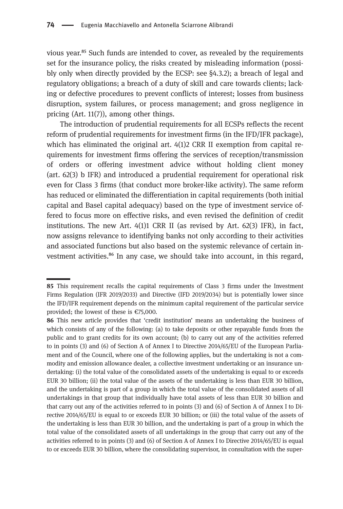vious year.<sup>85</sup> Such funds are intended to cover, as revealed by the requirements set for the insurance policy, the risks created by misleading information (possibly only when directly provided by the ECSP: see §4.3.2); a breach of legal and regulatory obligations; a breach of a duty of skill and care towards clients; lacking or defective procedures to prevent conflicts of interest; losses from business disruption, system failures, or process management; and gross negligence in pricing (Art. 11(7)), among other things.

The introduction of prudential requirements for all ECSPs reflects the recent reform of prudential requirements for investment firms (in the IFD/IFR package), which has eliminated the original art. 4(1)2 CRR II exemption from capital requirements for investment firms offering the services of reception/transmission of orders or offering investment advice without holding client money (art. 62(3) b IFR) and introduced a prudential requirement for operational risk even for Class 3 firms (that conduct more broker-like activity). The same reform has reduced or eliminated the differentiation in capital requirements (both initial capital and Basel capital adequacy) based on the type of investment service offered to focus more on effective risks, and even revised the definition of credit institutions. The new Art.  $4(1)1$  CRR II (as revised by Art.  $62(3)$  IFR), in fact, now assigns relevance to identifying banks not only according to their activities and associated functions but also based on the systemic relevance of certain investment activities.<sup>86</sup> In any case, we should take into account, in this regard,

<sup>85</sup> This requirement recalls the capital requirements of Class 3 firms under the Investment Firms Regulation (IFR 2019/2033) and Directive (IFD 2019/2034) but is potentially lower since the IFD/IFR requirement depends on the minimum capital requirement of the particular service provided; the lowest of these is €75,000.

<sup>86</sup> This new article provides that 'credit institution' means an undertaking the business of which consists of any of the following: (a) to take deposits or other repayable funds from the public and to grant credits for its own account; (b) to carry out any of the activities referred to in points (3) and (6) of Section A of Annex I to Directive 2014/65/EU of the European Parliament and of the Council, where one of the following applies, but the undertaking is not a commodity and emission allowance dealer, a collective investment undertaking or an insurance undertaking: (i) the total value of the consolidated assets of the undertaking is equal to or exceeds EUR 30 billion; (ii) the total value of the assets of the undertaking is less than EUR 30 billion, and the undertaking is part of a group in which the total value of the consolidated assets of all undertakings in that group that individually have total assets of less than EUR 30 billion and that carry out any of the activities referred to in points (3) and (6) of Section A of Annex I to Directive 2014/65/EU is equal to or exceeds EUR 30 billion; or (iii) the total value of the assets of the undertaking is less than EUR 30 billion, and the undertaking is part of a group in which the total value of the consolidated assets of all undertakings in the group that carry out any of the activities referred to in points (3) and (6) of Section A of Annex I to Directive 2014/65/EU is equal to or exceeds EUR 30 billion, where the consolidating supervisor, in consultation with the super-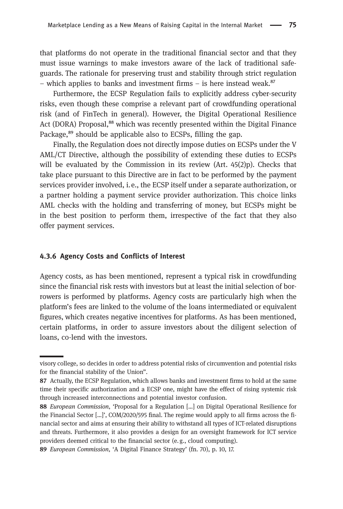that platforms do not operate in the traditional financial sector and that they must issue warnings to make investors aware of the lack of traditional safeguards. The rationale for preserving trust and stability through strict regulation – which applies to banks and investment firms – is here instead weak. $87$ 

Furthermore, the ECSP Regulation fails to explicitly address cyber-security risks, even though these comprise a relevant part of crowdfunding operational risk (and of FinTech in general). However, the Digital Operational Resilience Act (DORA) Proposal,<sup>88</sup> which was recently presented within the Digital Finance Package,<sup>89</sup> should be applicable also to ECSPs, filling the gap.

Finally, the Regulation does not directly impose duties on ECSPs under the V AML/CT Directive, although the possibility of extending these duties to ECSPs will be evaluated by the Commission in its review  $(A<sup>rt</sup>, 45(2)p)$ . Checks that take place pursuant to this Directive are in fact to be performed by the payment services provider involved, i.e., the ECSP itself under a separate authorization, or a partner holding a payment service provider authorization. This choice links AML checks with the holding and transferring of money, but ECSPs might be in the best position to perform them, irrespective of the fact that they also offer payment services.

#### 4.3.6 Agency Costs and Conflicts of Interest

Agency costs, as has been mentioned, represent a typical risk in crowdfunding since the financial risk rests with investors but at least the initial selection of borrowers is performed by platforms. Agency costs are particularly high when the platform's fees are linked to the volume of the loans intermediated or equivalent figures, which creates negative incentives for platforms. As has been mentioned, certain platforms, in order to assure investors about the diligent selection of loans, co-lend with the investors.

visory college, so decides in order to address potential risks of circumvention and potential risks for the financial stability of the Union".

<sup>87</sup> Actually, the ECSP Regulation, which allows banks and investment firms to hold at the same time their specific authorization and a ECSP one, might have the effect of rising systemic risk through increased interconnections and potential investor confusion.

<sup>88</sup> European Commission, 'Proposal for a Regulation [...] on Digital Operational Resilience for the Financial Sector […]', COM/2020/595 final. The regime would apply to all firms across the financial sector and aims at ensuring their ability to withstand all types of ICT-related disruptions and threats. Furthermore, it also provides a design for an oversight framework for ICT service providers deemed critical to the financial sector (e. g., cloud computing).

European Commission, 'A Digital Finance Strategy' (fn. 70), p. 10, 17.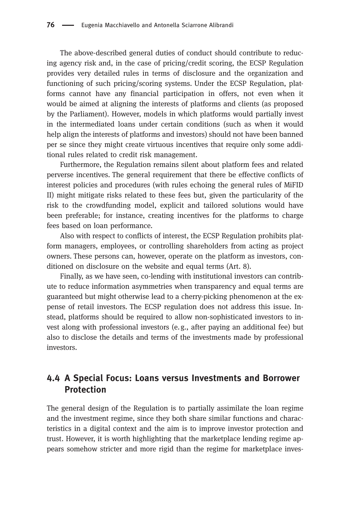The above-described general duties of conduct should contribute to reducing agency risk and, in the case of pricing/credit scoring, the ECSP Regulation provides very detailed rules in terms of disclosure and the organization and functioning of such pricing/scoring systems. Under the ECSP Regulation, platforms cannot have any financial participation in offers, not even when it would be aimed at aligning the interests of platforms and clients (as proposed by the Parliament). However, models in which platforms would partially invest in the intermediated loans under certain conditions (such as when it would help align the interests of platforms and investors) should not have been banned per se since they might create virtuous incentives that require only some additional rules related to credit risk management.

Furthermore, the Regulation remains silent about platform fees and related perverse incentives. The general requirement that there be effective conflicts of interest policies and procedures (with rules echoing the general rules of MiFID II) might mitigate risks related to these fees but, given the particularity of the risk to the crowdfunding model, explicit and tailored solutions would have been preferable; for instance, creating incentives for the platforms to charge fees based on loan performance.

Also with respect to conflicts of interest, the ECSP Regulation prohibits platform managers, employees, or controlling shareholders from acting as project owners. These persons can, however, operate on the platform as investors, conditioned on disclosure on the website and equal terms (Art. 8).

Finally, as we have seen, co-lending with institutional investors can contribute to reduce information asymmetries when transparency and equal terms are guaranteed but might otherwise lead to a cherry-picking phenomenon at the expense of retail investors. The ECSP regulation does not address this issue. Instead, platforms should be required to allow non-sophisticated investors to invest along with professional investors (e.g., after paying an additional fee) but also to disclose the details and terms of the investments made by professional investors.

### 4.4 A Special Focus: Loans versus Investments and Borrower Protection

The general design of the Regulation is to partially assimilate the loan regime and the investment regime, since they both share similar functions and characteristics in a digital context and the aim is to improve investor protection and trust. However, it is worth highlighting that the marketplace lending regime appears somehow stricter and more rigid than the regime for marketplace inves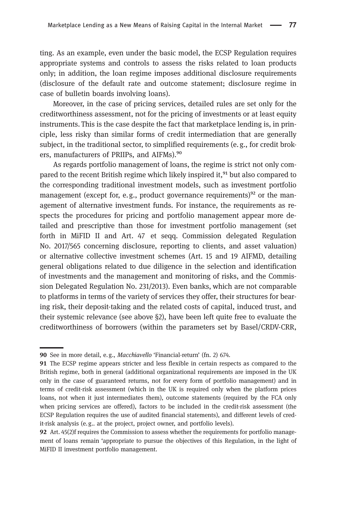ting. As an example, even under the basic model, the ECSP Regulation requires appropriate systems and controls to assess the risks related to loan products only; in addition, the loan regime imposes additional disclosure requirements (disclosure of the default rate and outcome statement; disclosure regime in case of bulletin boards involving loans).

Moreover, in the case of pricing services, detailed rules are set only for the creditworthiness assessment, not for the pricing of investments or at least equity instruments. This is the case despite the fact that marketplace lending is, in principle, less risky than similar forms of credit intermediation that are generally subject, in the traditional sector, to simplified requirements (e.g., for credit brokers, manufacturers of PRIIPs, and AIFMs).<sup>90</sup>

As regards portfolio management of loans, the regime is strict not only compared to the recent British regime which likely inspired it,<sup>91</sup> but also compared to the corresponding traditional investment models, such as investment portfolio management (except for, e.g., product governance requirements)<sup>92</sup> or the management of alternative investment funds. For instance, the requirements as respects the procedures for pricing and portfolio management appear more detailed and prescriptive than those for investment portfolio management (set forth in MiFID II and Art. 47 et seqq. Commission delegated Regulation No. 2017/565 concerning disclosure, reporting to clients, and asset valuation) or alternative collective investment schemes (Art. 15 and 19 AIFMD, detailing general obligations related to due diligence in the selection and identification of investments and the management and monitoring of risks, and the Commission Delegated Regulation No. 231/2013). Even banks, which are not comparable to platforms in terms of the variety of services they offer, their structures for bearing risk, their deposit-taking and the related costs of capital, induced trust, and their systemic relevance (see above §2), have been left quite free to evaluate the creditworthiness of borrowers (within the parameters set by Basel/CRDV-CRR,

<sup>90</sup> See in more detail, e.g., Macchiavello 'Financial-return' (fn. 2) 674.

The ECSP regime appears stricter and less flexible in certain respects as compared to the British regime, both in general (additional organizational requirements are imposed in the UK only in the case of guaranteed returns, not for every form of portfolio management) and in terms of credit-risk assessment (which in the UK is required only when the platform prices loans, not when it just intermediates them), outcome statements (required by the FCA only when pricing services are offered), factors to be included in the credit-risk assessment (the ECSP Regulation requires the use of audited financial statements), and different levels of credit-risk analysis (e. g.. at the project, project owner, and portfolio levels).

**<sup>92</sup>** Art. 45(2)f requires the Commission to assess whether the requirements for portfolio management of loans remain 'appropriate to pursue the objectives of this Regulation, in the light of MiFID II investment portfolio management.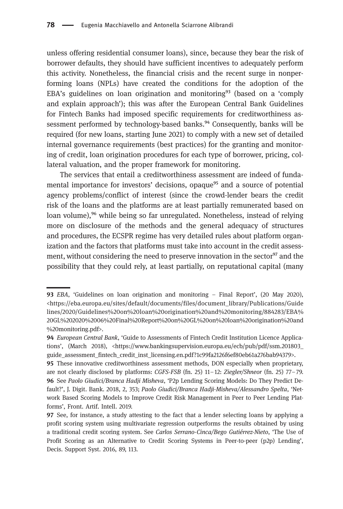unless offering residential consumer loans), since, because they bear the risk of borrower defaults, they should have sufficient incentives to adequately perform this activity. Nonetheless, the financial crisis and the recent surge in nonperforming loans (NPLs) have created the conditions for the adoption of the EBA's guidelines on loan origination and monitoring<sup>93</sup> (based on a 'comply and explain approach'); this was after the European Central Bank Guidelines for Fintech Banks had imposed specific requirements for creditworthiness assessment performed by technology-based banks.<sup>94</sup> Consequently, banks will be required (for new loans, starting June 2021) to comply with a new set of detailed internal governance requirements (best practices) for the granting and monitoring of credit, loan origination procedures for each type of borrower, pricing, collateral valuation, and the proper framework for monitoring.

The services that entail a creditworthiness assessment are indeed of fundamental importance for investors' decisions, opaque<sup>95</sup> and a source of potential agency problems/conflict of interest (since the crowd-lender bears the credit risk of the loans and the platforms are at least partially remunerated based on loan volume),<sup>96</sup> while being so far unregulated. Nonetheless, instead of relying more on disclosure of the methods and the general adequacy of structures and procedures, the ECSPR regime has very detailed rules about platform organization and the factors that platforms must take into account in the credit assessment, without considering the need to preserve innovation in the sector<sup>97</sup> and the possibility that they could rely, at least partially, on reputational capital (many

EBA, 'Guidelines on loan origination and monitoring – Final Report', (20 May 2020), [<https://eba.europa.eu/sites/default/documents/files/document\\_library/Publications/Guide](https://eba.europa.eu/sites/default/documents/files/document_library/Publications/Guidelines/2020/Guidelines%20on%20loan%20origination%20and%20monitoring/884283/EBA%20GL%202020%2006%20Final%20Report%20on%20GL%20on%20loan%20origination%20and%20monitoring.pdf) [lines/2020/Guidelines%20on%20loan%20origination%20and%20monitoring/884283/EBA%](https://eba.europa.eu/sites/default/documents/files/document_library/Publications/Guidelines/2020/Guidelines%20on%20loan%20origination%20and%20monitoring/884283/EBA%20GL%202020%2006%20Final%20Report%20on%20GL%20on%20loan%20origination%20and%20monitoring.pdf) [20GL%202020%2006%20Final%20Report%20on%20GL%20on%20loan%20origination%20and](https://eba.europa.eu/sites/default/documents/files/document_library/Publications/Guidelines/2020/Guidelines%20on%20loan%20origination%20and%20monitoring/884283/EBA%20GL%202020%2006%20Final%20Report%20on%20GL%20on%20loan%20origination%20and%20monitoring.pdf) [%20monitoring.pdf>](https://eba.europa.eu/sites/default/documents/files/document_library/Publications/Guidelines/2020/Guidelines%20on%20loan%20origination%20and%20monitoring/884283/EBA%20GL%202020%2006%20Final%20Report%20on%20GL%20on%20loan%20origination%20and%20monitoring.pdf).

<sup>94</sup> European Central Bank, 'Guide to Assessments of Fintech Credit Institution Licence Applications', (March 2018), [<https://www.bankingsupervision.europa.eu/ecb/pub/pdf/ssm.201803\\_](https://www.bankingsupervision.europa.eu/ecb/pub/pdf/ssm.201803_guide_assessment_fintech_credit_inst_licensing.en.pdf?1c99fa2126f6ef80eb61a276bab94379) [guide\\_assessment\\_fintech\\_credit\\_inst\\_licensing.en.pdf?1c99fa2126f6ef80eb61a276bab94379](https://www.bankingsupervision.europa.eu/ecb/pub/pdf/ssm.201803_guide_assessment_fintech_credit_inst_licensing.en.pdf?1c99fa2126f6ef80eb61a276bab94379)>.

<sup>95</sup> These innovative creditworthiness assessment methods, DON especially when proprietary, are not clearly disclosed by platforms: CGFS-FSB (fn. 25) 11–12: Ziegler/Shneor (fn. 25) 77–79. 96 See Paolo Giudici/Branca Hadji Misheva, 'P2p Lending Scoring Models: Do They Predict Default?', J. Digit. Bank. 2018, 2, 353; Paolo Giudici/Branca Hadji-Misheva/Alessandro Spelta, 'Network Based Scoring Models to Improve Credit Risk Management in Peer to Peer Lending Platforms', Front. Artif. Intell. 2019.

**<sup>97</sup>** See, for instance, a study attesting to the fact that a lender selecting loans by applying a profit scoring system using multivariate regression outperforms the results obtained by using a traditional credit scoring system. See Carlos Serrano-Cinca/Bego Gutiérrez-Nieto, 'The Use of Profit Scoring as an Alternative to Credit Scoring Systems in Peer-to-peer (p2p) Lending', Decis. Support Syst. 2016, 89, 113.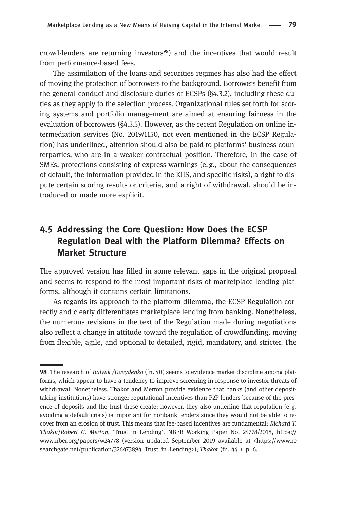crowd-lenders are returning investors<sup>98</sup>) and the incentives that would result from performance-based fees.

The assimilation of the loans and securities regimes has also had the effect of moving the protection of borrowers to the background. Borrowers benefit from the general conduct and disclosure duties of ECSPs (§4.3.2), including these duties as they apply to the selection process. Organizational rules set forth for scoring systems and portfolio management are aimed at ensuring fairness in the evaluation of borrowers (§4.3.5). However, as the recent Regulation on online intermediation services (No. 2019/1150, not even mentioned in the ECSP Regulation) has underlined, attention should also be paid to platforms' business counterparties, who are in a weaker contractual position. Therefore, in the case of SMEs, protections consisting of express warnings (e.g., about the consequences of default, the information provided in the KIIS, and specific risks), a right to dispute certain scoring results or criteria, and a right of withdrawal, should be introduced or made more explicit.

### 4.5 Addressing the Core Question: How Does the ECSP Regulation Deal with the Platform Dilemma? Effects on Market Structure

The approved version has filled in some relevant gaps in the original proposal and seems to respond to the most important risks of marketplace lending platforms, although it contains certain limitations.

As regards its approach to the platform dilemma, the ECSP Regulation correctly and clearly differentiates marketplace lending from banking. Nonetheless, the numerous revisions in the text of the Regulation made during negotiations also reflect a change in attitude toward the regulation of crowdfunding, moving from flexible, agile, and optional to detailed, rigid, mandatory, and stricter. The

<sup>98</sup> The research of Balyuk /Davydenko (fn. 40) seems to evidence market discipline among platforms, which appear to have a tendency to improve screening in response to investor threats of withdrawal. Nonetheless, Thakor and Merton provide evidence that banks (and other deposittaking institutions) have stronger reputational incentives than P2P lenders because of the presence of deposits and the trust these create; however, they also underline that reputation (e.g. avoiding a default crisis) is important for nonbank lenders since they would not be able to recover from an erosion of trust. This means that fee-based incentives are fundamental: Richard T. Thakor/Robert C. Merton, 'Trust in Lending', NBER Working Paper No. 24778/2018, https:// www.nber.org/papers/w24778 (version updated September 2019 available at [<https://www.re](https://www.researchgate.net/publication/326473894_Trust_in_Lending) [searchgate.net/publication/326473894\\_Trust\\_in\\_Lending](https://www.researchgate.net/publication/326473894_Trust_in_Lending)>); Thakor (fn. 44), p. 6.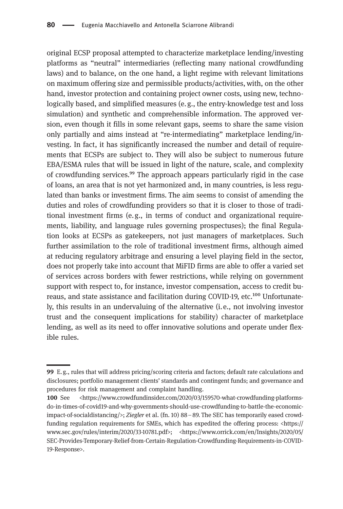original ECSP proposal attempted to characterize marketplace lending/investing platforms as "neutral" intermediaries (reflecting many national crowdfunding laws) and to balance, on the one hand, a light regime with relevant limitations on maximum offering size and permissible products/activities, with, on the other hand, investor protection and containing project owner costs, using new, technologically based, and simplified measures (e. g., the entry-knowledge test and loss simulation) and synthetic and comprehensible information. The approved version, even though it fills in some relevant gaps, seems to share the same vision only partially and aims instead at "re-intermediating" marketplace lending/investing. In fact, it has significantly increased the number and detail of requirements that ECSPs are subject to. They will also be subject to numerous future EBA/ESMA rules that will be issued in light of the nature, scale, and complexity of crowdfunding services.<sup>99</sup> The approach appears particularly rigid in the case of loans, an area that is not yet harmonized and, in many countries, is less regulated than banks or investment firms. The aim seems to consist of amending the duties and roles of crowdfunding providers so that it is closer to those of traditional investment firms (e.g., in terms of conduct and organizational requirements, liability, and language rules governing prospectuses); the final Regulation looks at ECSPs as gatekeepers, not just managers of marketplaces. Such further assimilation to the role of traditional investment firms, although aimed at reducing regulatory arbitrage and ensuring a level playing field in the sector, does not properly take into account that MiFID firms are able to offer a varied set of services across borders with fewer restrictions, while relying on government support with respect to, for instance, investor compensation, access to credit bureaus, and state assistance and facilitation during COVID-19, etc.<sup>100</sup> Unfortunately, this results in an undervaluing of the alternative (i.e., not involving investor trust and the consequent implications for stability) character of marketplace lending, as well as its need to offer innovative solutions and operate under flexible rules.

E. g., rules that will address pricing/scoring criteria and factors; default rate calculations and disclosures; portfolio management clients' standards and contingent funds; and governance and procedures for risk management and complaint handling.

<sup>100</sup> See <[https://www.crowdfundinsider.com/2020/03/159570-what-crowdfunding-platforms](https://www.crowdfundinsider.com/2020/03/159570-what-crowdfunding-platforms-do-in-times-of-covid19-and-why-governments-should-use-crowdfunding-to-battle-the-economic-impact-of-socialdistancing/)[do-in-times-of-covid19-and-why-governments-should-use-crowdfunding-to-battle-the-economic](https://www.crowdfundinsider.com/2020/03/159570-what-crowdfunding-platforms-do-in-times-of-covid19-and-why-governments-should-use-crowdfunding-to-battle-the-economic-impact-of-socialdistancing/)[impact-of-socialdistancing/>](https://www.crowdfundinsider.com/2020/03/159570-what-crowdfunding-platforms-do-in-times-of-covid19-and-why-governments-should-use-crowdfunding-to-battle-the-economic-impact-of-socialdistancing/); Ziegler et al. (fn. 10) 88–89. The SEC has temporarily eased crowdfunding regulation requirements for SMEs, which has expedited the offering process: [<https://](https://www.sec.gov/rules/interim/2020/33-10781.pdf) [www.sec.gov/rules/interim/2020/33-10781.pdf](https://www.sec.gov/rules/interim/2020/33-10781.pdf)>; [<https://www.orrick.com/en/Insights/2020/05/](https://www.orrick.com/en/Insights/2020/05/SEC-Provides-Temporary-Relief-from-Certain-Regulation-Crowdfunding-Requirements-in-COVID-19-Response) [SEC-Provides-Temporary-Relief-from-Certain-Regulation-Crowdfunding-Requirements-in-COVID-](https://www.orrick.com/en/Insights/2020/05/SEC-Provides-Temporary-Relief-from-Certain-Regulation-Crowdfunding-Requirements-in-COVID-19-Response)[19-Response](https://www.orrick.com/en/Insights/2020/05/SEC-Provides-Temporary-Relief-from-Certain-Regulation-Crowdfunding-Requirements-in-COVID-19-Response)>.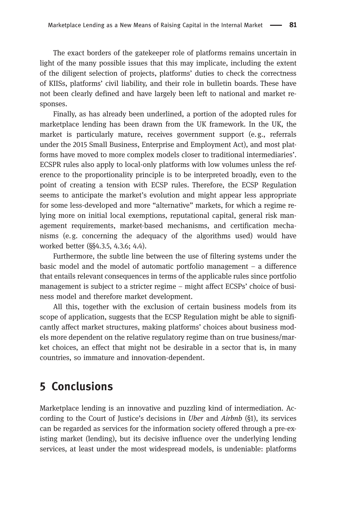The exact borders of the gatekeeper role of platforms remains uncertain in light of the many possible issues that this may implicate, including the extent of the diligent selection of projects, platforms' duties to check the correctness of KIISs, platforms' civil liability, and their role in bulletin boards. These have not been clearly defined and have largely been left to national and market responses.

Finally, as has already been underlined, a portion of the adopted rules for marketplace lending has been drawn from the UK framework. In the UK, the market is particularly mature, receives government support (e. g., referrals under the 2015 Small Business, Enterprise and Employment Act), and most platforms have moved to more complex models closer to traditional intermediaries'. ECSPR rules also apply to local-only platforms with low volumes unless the reference to the proportionality principle is to be interpreted broadly, even to the point of creating a tension with ECSP rules. Therefore, the ECSP Regulation seems to anticipate the market's evolution and might appear less appropriate for some less-developed and more "alternative" markets, for which a regime relying more on initial local exemptions, reputational capital, general risk management requirements, market-based mechanisms, and certification mechanisms (e.g. concerning the adequacy of the algorithms used) would have worked better (§§4.3.5, 4.3.6; 4.4).

Furthermore, the subtle line between the use of filtering systems under the basic model and the model of automatic portfolio management – a difference that entails relevant consequences in terms of the applicable rules since portfolio management is subject to a stricter regime – might affect ECSPs' choice of business model and therefore market development.

All this, together with the exclusion of certain business models from its scope of application, suggests that the ECSP Regulation might be able to significantly affect market structures, making platforms' choices about business models more dependent on the relative regulatory regime than on true business/market choices, an effect that might not be desirable in a sector that is, in many countries, so immature and innovation-dependent.

## 5 Conclusions

Marketplace lending is an innovative and puzzling kind of intermediation. According to the Court of Justice's decisions in Uber and Airbnb (§1), its services can be regarded as services for the information society offered through a pre-existing market (lending), but its decisive influence over the underlying lending services, at least under the most widespread models, is undeniable: platforms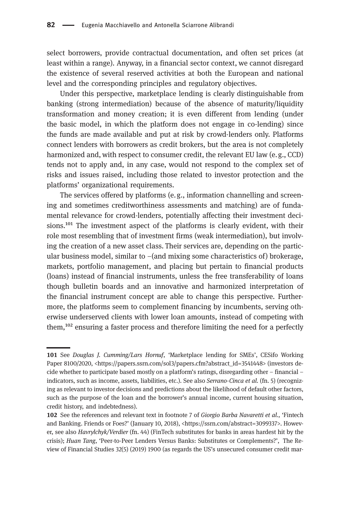select borrowers, provide contractual documentation, and often set prices (at least within a range). Anyway, in a financial sector context, we cannot disregard the existence of several reserved activities at both the European and national level and the corresponding principles and regulatory objectives.

Under this perspective, marketplace lending is clearly distinguishable from banking (strong intermediation) because of the absence of maturity/liquidity transformation and money creation; it is even different from lending (under the basic model, in which the platform does not engage in co-lending) since the funds are made available and put at risk by crowd-lenders only. Platforms connect lenders with borrowers as credit brokers, but the area is not completely harmonized and, with respect to consumer credit, the relevant EU law (e. g., CCD) tends not to apply and, in any case, would not respond to the complex set of risks and issues raised, including those related to investor protection and the platforms' organizational requirements.

The services offered by platforms (e. g., information channelling and screening and sometimes creditworthiness assessments and matching) are of fundamental relevance for crowd-lenders, potentially affecting their investment decisions.<sup>101</sup> The investment aspect of the platforms is clearly evident, with their role most resembling that of investment firms (weak intermediation), but involving the creation of a new asset class. Their services are, depending on the particular business model, similar to  $-$ (and mixing some characteristics of) brokerage, markets, portfolio management, and placing but pertain to financial products (loans) instead of financial instruments, unless the free transferability of loans though bulletin boards and an innovative and harmonized interpretation of the financial instrument concept are able to change this perspective. Furthermore, the platforms seem to complement financing by incumbents, serving otherwise underserved clients with lower loan amounts, instead of competing with them,<sup>102</sup> ensuring a faster process and therefore limiting the need for a perfectly

<sup>101</sup> See Douglas J. Cumming/Lars Hornuf, 'Marketplace lending for SMEs', CESifo Working Paper 8100/2020, <[https://papers.ssrn.com/sol3/papers.cfm?abstract\\_id=3541448>](https://papers.ssrn.com/sol3/papers.cfm?abstract_id=3541448) (investors decide whether to participate based mostly on a platform's ratings, disregarding other – financial – indicators, such as income, assets, liabilities, etc.). See also Serrano-Cinca et al. (fn. 5) (recognizing as relevant to investor decisions and predictions about the likelihood of default other factors, such as the purpose of the loan and the borrower's annual income, current housing situation, credit history, and indebtedness).

<sup>102</sup> See the references and relevant text in footnote 7 of Giorgio Barba Navaretti et al., 'Fintech and Banking. Friends or Foes?' (January 10, 2018), <<https://ssrn.com/abstract=3099337>>. However, see also Havrylchyk/Verdier (fn. 44) (FinTech substitutes for banks in areas hardest hit by the crisis); Huan Tang, 'Peer-to-Peer Lenders Versus Banks: Substitutes or Complements?', The Review of Financial Studies 32(5) (2019) 1900 (as regards the US's unsecured consumer credit mar-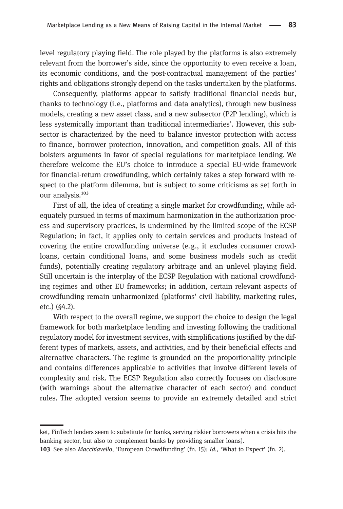level regulatory playing field. The role played by the platforms is also extremely relevant from the borrower's side, since the opportunity to even receive a loan, its economic conditions, and the post-contractual management of the parties' rights and obligations strongly depend on the tasks undertaken by the platforms.

Consequently, platforms appear to satisfy traditional financial needs but, thanks to technology (i.e., platforms and data analytics), through new business models, creating a new asset class, and a new subsector (P2P lending), which is less systemically important than traditional intermediaries'. However, this subsector is characterized by the need to balance investor protection with access to finance, borrower protection, innovation, and competition goals. All of this bolsters arguments in favor of special regulations for marketplace lending. We therefore welcome the EU's choice to introduce a special EU-wide framework for financial-return crowdfunding, which certainly takes a step forward with respect to the platform dilemma, but is subject to some criticisms as set forth in our analysis.<sup>103</sup>

First of all, the idea of creating a single market for crowdfunding, while adequately pursued in terms of maximum harmonization in the authorization process and supervisory practices, is undermined by the limited scope of the ECSP Regulation; in fact, it applies only to certain services and products instead of covering the entire crowdfunding universe (e. g., it excludes consumer crowdloans, certain conditional loans, and some business models such as credit funds), potentially creating regulatory arbitrage and an unlevel playing field. Still uncertain is the interplay of the ECSP Regulation with national crowdfunding regimes and other EU frameworks; in addition, certain relevant aspects of crowdfunding remain unharmonized (platforms' civil liability, marketing rules, etc.) (§4.2).

With respect to the overall regime, we support the choice to design the legal framework for both marketplace lending and investing following the traditional regulatory model for investment services, with simplifications justified by the different types of markets, assets, and activities, and by their beneficial effects and alternative characters. The regime is grounded on the proportionality principle and contains differences applicable to activities that involve different levels of complexity and risk. The ECSP Regulation also correctly focuses on disclosure (with warnings about the alternative character of each sector) and conduct rules. The adopted version seems to provide an extremely detailed and strict

ket, FinTech lenders seem to substitute for banks, serving riskier borrowers when a crisis hits the banking sector, but also to complement banks by providing smaller loans).

<sup>103</sup> See also *Macchiavello*, 'European Crowdfunding' (fn. 15); Id., 'What to Expect' (fn. 2).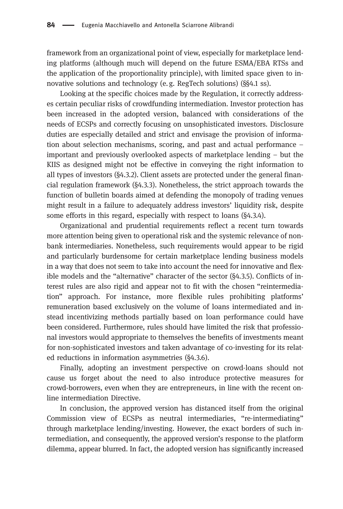framework from an organizational point of view, especially for marketplace lending platforms (although much will depend on the future ESMA/EBA RTSs and the application of the proportionality principle), with limited space given to innovative solutions and technology (e.g. RegTech solutions) (§§4.1 ss).

Looking at the specific choices made by the Regulation, it correctly addresses certain peculiar risks of crowdfunding intermediation. Investor protection has been increased in the adopted version, balanced with considerations of the needs of ECSPs and correctly focusing on unsophisticated investors. Disclosure duties are especially detailed and strict and envisage the provision of information about selection mechanisms, scoring, and past and actual performance – important and previously overlooked aspects of marketplace lending – but the KIIS as designed might not be effective in conveying the right information to all types of investors (§4.3.2). Client assets are protected under the general financial regulation framework (§4.3.3). Nonetheless, the strict approach towards the function of bulletin boards aimed at defending the monopoly of trading venues might result in a failure to adequately address investors' liquidity risk, despite some efforts in this regard, especially with respect to loans (§4.3.4).

Organizational and prudential requirements reflect a recent turn towards more attention being given to operational risk and the systemic relevance of nonbank intermediaries. Nonetheless, such requirements would appear to be rigid and particularly burdensome for certain marketplace lending business models in a way that does not seem to take into account the need for innovative and flexible models and the "alternative" character of the sector (§4.3.5). Conflicts of interest rules are also rigid and appear not to fit with the chosen "reintermediation" approach. For instance, more flexible rules prohibiting platforms' remuneration based exclusively on the volume of loans intermediated and instead incentivizing methods partially based on loan performance could have been considered. Furthermore, rules should have limited the risk that professional investors would appropriate to themselves the benefits of investments meant for non-sophisticated investors and taken advantage of co-investing for its related reductions in information asymmetries (§4.3.6).

Finally, adopting an investment perspective on crowd-loans should not cause us forget about the need to also introduce protective measures for crowd-borrowers, even when they are entrepreneurs, in line with the recent online intermediation Directive.

In conclusion, the approved version has distanced itself from the original Commission view of ECSPs as neutral intermediaries, "re-intermediating" through marketplace lending/investing. However, the exact borders of such intermediation, and consequently, the approved version's response to the platform dilemma, appear blurred. In fact, the adopted version has significantly increased